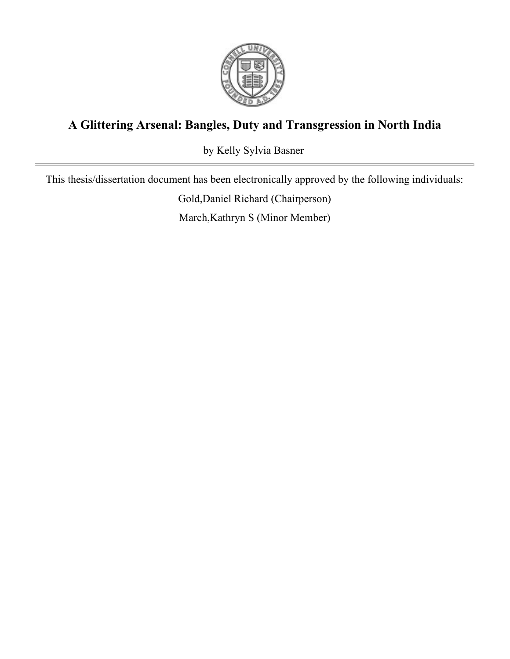

# **A Glittering Arsenal: Bangles, Duty and Transgression in North India**

by Kelly Sylvia Basner

This thesis/dissertation document has been electronically approved by the following individuals:

Gold,Daniel Richard (Chairperson)

March,Kathryn S (Minor Member)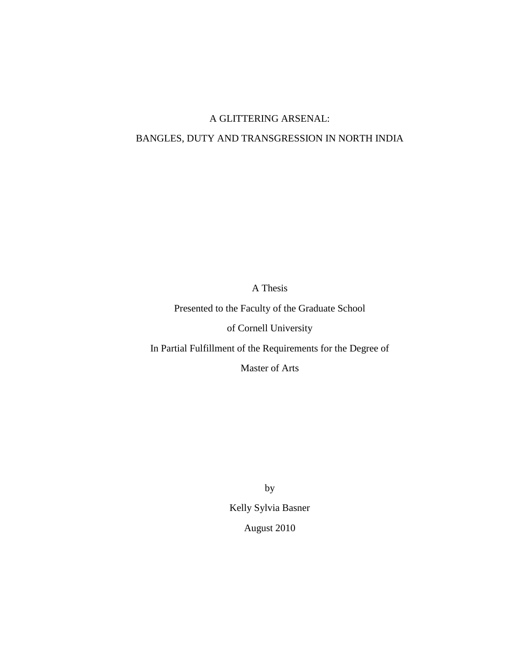## A GLITTERING ARSENAL:

## BANGLES, DUTY AND TRANSGRESSION IN NORTH INDIA

A Thesis

Presented to the Faculty of the Graduate School

of Cornell University

In Partial Fulfillment of the Requirements for the Degree of

Master of Arts

by

Kelly Sylvia Basner

August 2010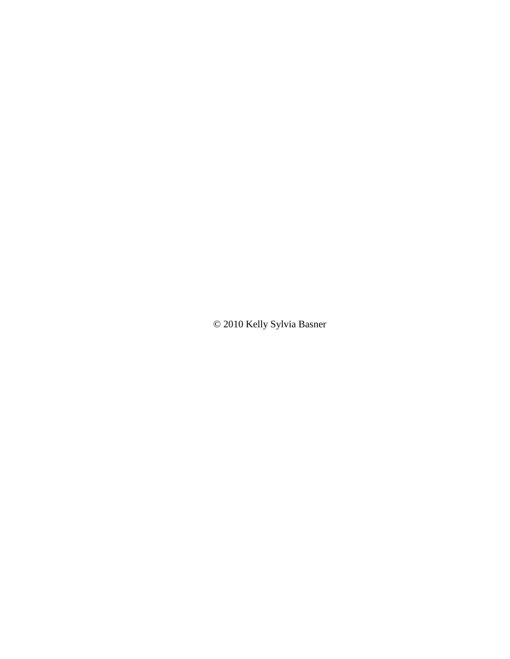© 2010 Kelly Sylvia Basner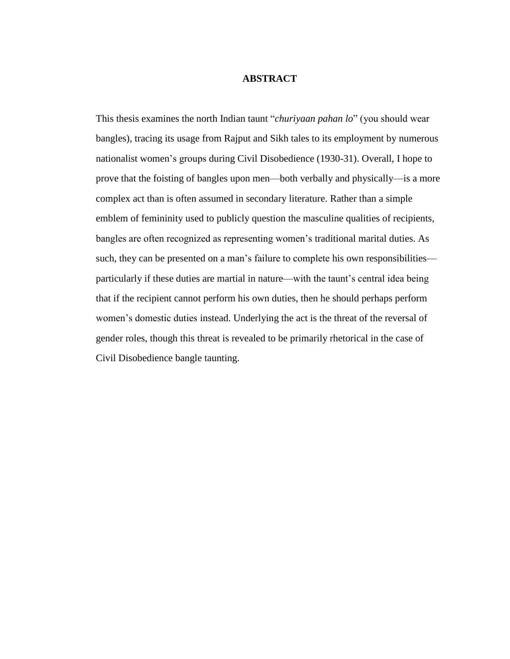## **ABSTRACT**

This thesis examines the north Indian taunt "*churiyaan pahan lo*" (you should wear bangles), tracing its usage from Rajput and Sikh tales to its employment by numerous nationalist women"s groups during Civil Disobedience (1930-31). Overall, I hope to prove that the foisting of bangles upon men—both verbally and physically—is a more complex act than is often assumed in secondary literature. Rather than a simple emblem of femininity used to publicly question the masculine qualities of recipients, bangles are often recognized as representing women"s traditional marital duties. As such, they can be presented on a man's failure to complete his own responsibilities particularly if these duties are martial in nature—with the taunt"s central idea being that if the recipient cannot perform his own duties, then he should perhaps perform women"s domestic duties instead. Underlying the act is the threat of the reversal of gender roles, though this threat is revealed to be primarily rhetorical in the case of Civil Disobedience bangle taunting.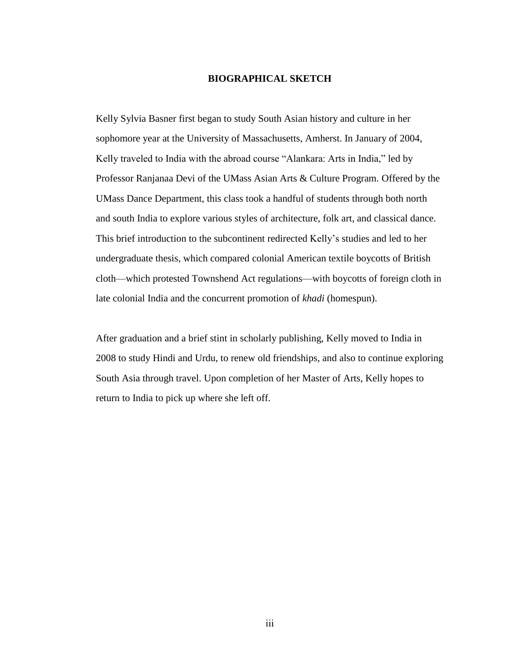## **BIOGRAPHICAL SKETCH**

Kelly Sylvia Basner first began to study South Asian history and culture in her sophomore year at the University of Massachusetts, Amherst. In January of 2004, Kelly traveled to India with the abroad course "Alankara: Arts in India," led by Professor Ranjanaa Devi of the UMass Asian Arts & Culture Program. Offered by the UMass Dance Department, this class took a handful of students through both north and south India to explore various styles of architecture, folk art, and classical dance. This brief introduction to the subcontinent redirected Kelly"s studies and led to her undergraduate thesis, which compared colonial American textile boycotts of British cloth—which protested Townshend Act regulations—with boycotts of foreign cloth in late colonial India and the concurrent promotion of *khadi* (homespun).

After graduation and a brief stint in scholarly publishing, Kelly moved to India in 2008 to study Hindi and Urdu, to renew old friendships, and also to continue exploring South Asia through travel. Upon completion of her Master of Arts, Kelly hopes to return to India to pick up where she left off.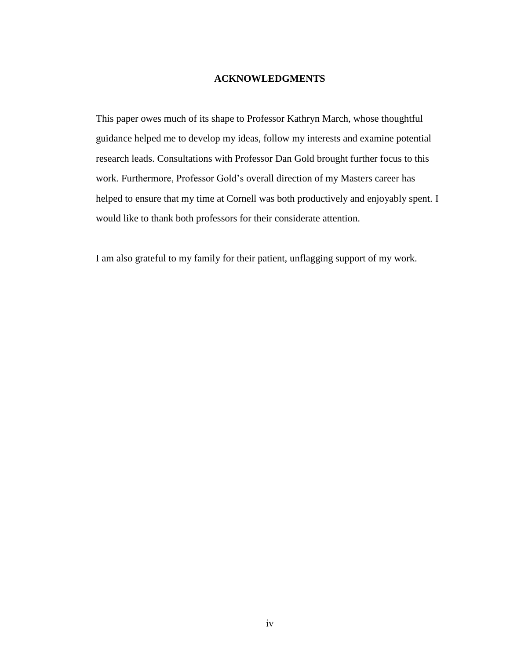## **ACKNOWLEDGMENTS**

This paper owes much of its shape to Professor Kathryn March, whose thoughtful guidance helped me to develop my ideas, follow my interests and examine potential research leads. Consultations with Professor Dan Gold brought further focus to this work. Furthermore, Professor Gold"s overall direction of my Masters career has helped to ensure that my time at Cornell was both productively and enjoyably spent. I would like to thank both professors for their considerate attention.

I am also grateful to my family for their patient, unflagging support of my work.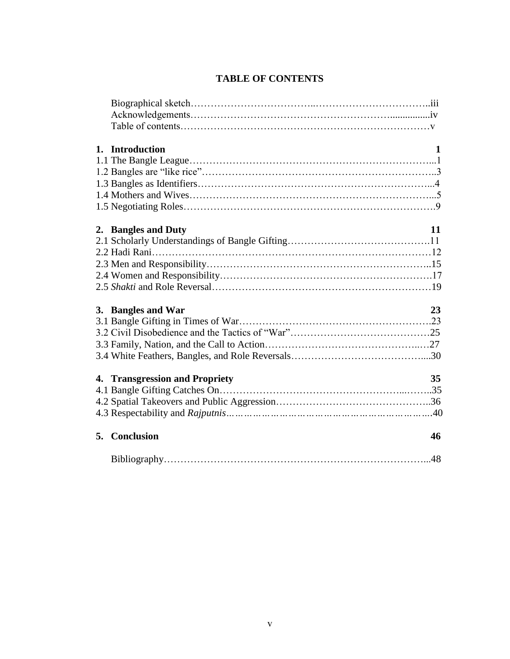| 1. Introduction                | $\mathbf 1$ |
|--------------------------------|-------------|
|                                |             |
|                                |             |
|                                |             |
|                                |             |
|                                |             |
| 2. Bangles and Duty            | 11          |
|                                |             |
|                                |             |
|                                |             |
|                                |             |
|                                |             |
| 3. Bangles and War             | 23          |
|                                |             |
|                                |             |
|                                |             |
|                                |             |
| 4. Transgression and Propriety | 35          |
|                                |             |
|                                |             |
|                                |             |
| 5. Conclusion                  | 46          |
|                                |             |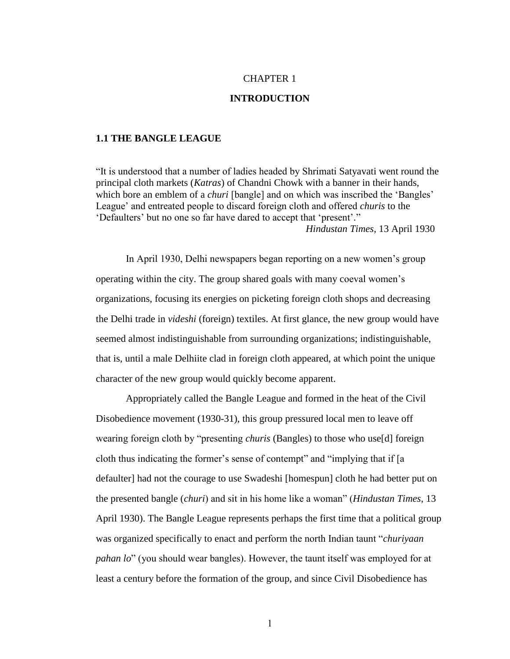## CHAPTER 1

## **INTRODUCTION**

#### **1.1 THE BANGLE LEAGUE**

"It is understood that a number of ladies headed by Shrimati Satyavati went round the principal cloth markets (*Katras*) of Chandni Chowk with a banner in their hands, which bore an emblem of a *churi* [bangle] and on which was inscribed the 'Bangles' League" and entreated people to discard foreign cloth and offered *churis* to the "Defaulters" but no one so far have dared to accept that "present"." *Hindustan Times*, 13 April 1930

In April 1930, Delhi newspapers began reporting on a new women"s group operating within the city. The group shared goals with many coeval women"s organizations, focusing its energies on picketing foreign cloth shops and decreasing the Delhi trade in *videshi* (foreign) textiles. At first glance, the new group would have seemed almost indistinguishable from surrounding organizations; indistinguishable, that is, until a male Delhiite clad in foreign cloth appeared, at which point the unique character of the new group would quickly become apparent.

Appropriately called the Bangle League and formed in the heat of the Civil Disobedience movement (1930-31), this group pressured local men to leave off wearing foreign cloth by "presenting *churis* (Bangles) to those who use[d] foreign cloth thus indicating the former"s sense of contempt" and "implying that if [a defaulter] had not the courage to use Swadeshi [homespun] cloth he had better put on the presented bangle (*churi*) and sit in his home like a woman" (*Hindustan Times*, 13 April 1930). The Bangle League represents perhaps the first time that a political group was organized specifically to enact and perform the north Indian taunt "*churiyaan pahan lo*" (you should wear bangles). However, the taunt itself was employed for at least a century before the formation of the group, and since Civil Disobedience has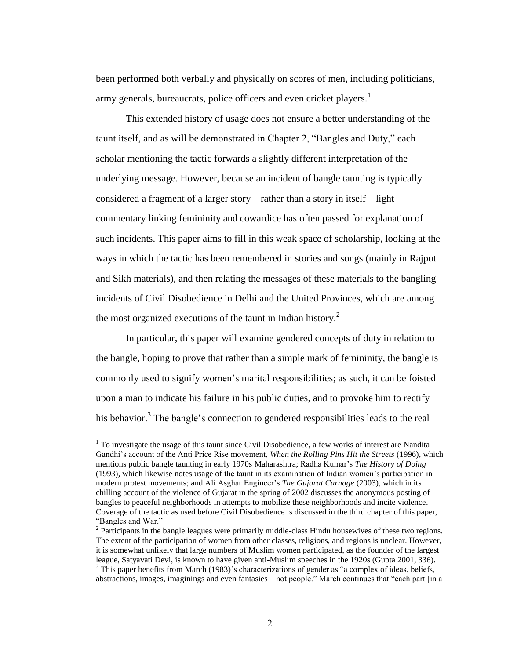been performed both verbally and physically on scores of men, including politicians, army generals, bureaucrats, police officers and even cricket players.<sup>1</sup>

This extended history of usage does not ensure a better understanding of the taunt itself, and as will be demonstrated in Chapter 2, "Bangles and Duty," each scholar mentioning the tactic forwards a slightly different interpretation of the underlying message. However, because an incident of bangle taunting is typically considered a fragment of a larger story—rather than a story in itself—light commentary linking femininity and cowardice has often passed for explanation of such incidents. This paper aims to fill in this weak space of scholarship, looking at the ways in which the tactic has been remembered in stories and songs (mainly in Rajput and Sikh materials), and then relating the messages of these materials to the bangling incidents of Civil Disobedience in Delhi and the United Provinces, which are among the most organized executions of the taunt in Indian history.<sup>2</sup>

In particular, this paper will examine gendered concepts of duty in relation to the bangle, hoping to prove that rather than a simple mark of femininity, the bangle is commonly used to signify women"s marital responsibilities; as such, it can be foisted upon a man to indicate his failure in his public duties, and to provoke him to rectify his behavior.<sup>3</sup> The bangle's connection to gendered responsibilities leads to the real

 $1$  To investigate the usage of this taunt since Civil Disobedience, a few works of interest are Nandita Gandhi"s account of the Anti Price Rise movement, *When the Rolling Pins Hit the Streets* (1996), which mentions public bangle taunting in early 1970s Maharashtra; Radha Kumar"s *The History of Doing*  (1993)*,* which likewise notes usage of the taunt in its examination of Indian women"s participation in modern protest movements; and Ali Asghar Engineer"s *The Gujarat Carnage* (2003), which in its chilling account of the violence of Gujarat in the spring of 2002 discusses the anonymous posting of bangles to peaceful neighborhoods in attempts to mobilize these neighborhoods and incite violence. Coverage of the tactic as used before Civil Disobedience is discussed in the third chapter of this paper, "Bangles and War."

 $2$  Participants in the bangle leagues were primarily middle-class Hindu housewives of these two regions. The extent of the participation of women from other classes, religions, and regions is unclear. However, it is somewhat unlikely that large numbers of Muslim women participated, as the founder of the largest league, Satyavati Devi, is known to have given anti-Muslim speeches in the 1920s (Gupta 2001, 336).

 $3$  This paper benefits from March (1983)'s characterizations of gender as "a complex of ideas, beliefs, abstractions, images, imaginings and even fantasies—not people." March continues that "each part [in a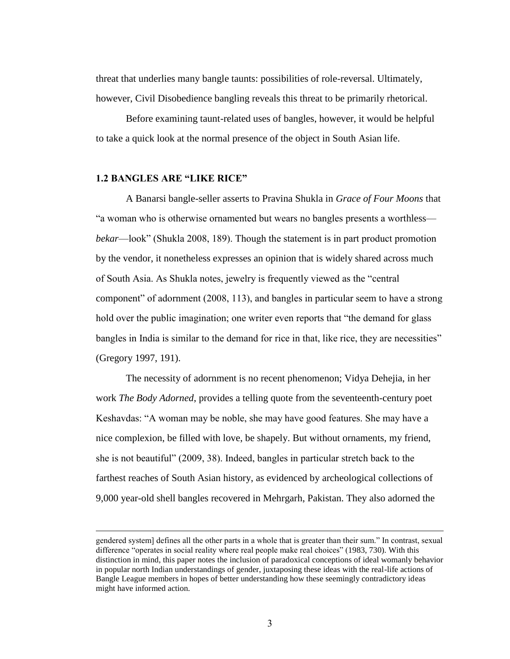threat that underlies many bangle taunts: possibilities of role-reversal. Ultimately, however, Civil Disobedience bangling reveals this threat to be primarily rhetorical.

Before examining taunt-related uses of bangles, however, it would be helpful to take a quick look at the normal presence of the object in South Asian life.

## **1.2 BANGLES ARE "LIKE RICE"**

 $\overline{a}$ 

A Banarsi bangle-seller asserts to Pravina Shukla in *Grace of Four Moons* that "a woman who is otherwise ornamented but wears no bangles presents a worthless *bekar*—look" (Shukla 2008, 189). Though the statement is in part product promotion by the vendor, it nonetheless expresses an opinion that is widely shared across much of South Asia. As Shukla notes, jewelry is frequently viewed as the "central component" of adornment (2008, 113), and bangles in particular seem to have a strong hold over the public imagination; one writer even reports that "the demand for glass bangles in India is similar to the demand for rice in that, like rice, they are necessities" (Gregory 1997, 191).

The necessity of adornment is no recent phenomenon; Vidya Dehejia, in her work *The Body Adorned*, provides a telling quote from the seventeenth-century poet Keshavdas: "A woman may be noble, she may have good features. She may have a nice complexion, be filled with love, be shapely. But without ornaments, my friend, she is not beautiful" (2009, 38). Indeed, bangles in particular stretch back to the farthest reaches of South Asian history, as evidenced by archeological collections of 9,000 year-old shell bangles recovered in Mehrgarh, Pakistan. They also adorned the

gendered system] defines all the other parts in a whole that is greater than their sum." In contrast, sexual difference "operates in social reality where real people make real choices" (1983, 730). With this distinction in mind, this paper notes the inclusion of paradoxical conceptions of ideal womanly behavior in popular north Indian understandings of gender, juxtaposing these ideas with the real-life actions of Bangle League members in hopes of better understanding how these seemingly contradictory ideas might have informed action.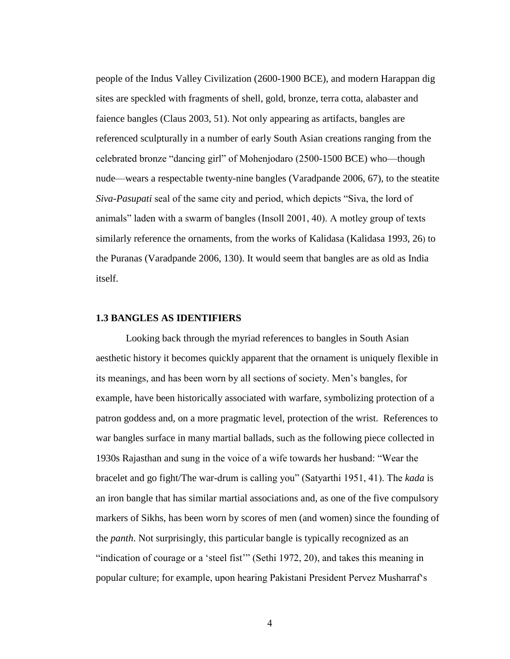people of the Indus Valley Civilization (2600-1900 BCE), and modern Harappan dig sites are speckled with fragments of shell, gold, bronze, terra cotta, alabaster and faience bangles (Claus 2003, 51). Not only appearing as artifacts, bangles are referenced sculpturally in a number of early South Asian creations ranging from the celebrated bronze "dancing girl" of Mohenjodaro (2500-1500 BCE) who—though nude—wears a respectable twenty-nine bangles (Varadpande 2006, 67), to the steatite *Siva-Pasupati* seal of the same city and period, which depicts "Siva, the lord of animals" laden with a swarm of bangles (Insoll 2001, 40). A motley group of texts similarly reference the ornaments, from the works of Kalidasa (Kalidasa 1993, 26) to the Puranas (Varadpande 2006, 130). It would seem that bangles are as old as India itself.

#### **1.3 BANGLES AS IDENTIFIERS**

Looking back through the myriad references to bangles in South Asian aesthetic history it becomes quickly apparent that the ornament is uniquely flexible in its meanings, and has been worn by all sections of society. Men"s bangles, for example, have been historically associated with warfare, symbolizing protection of a patron goddess and, on a more pragmatic level, protection of the wrist. References to war bangles surface in many martial ballads, such as the following piece collected in 1930s Rajasthan and sung in the voice of a wife towards her husband: "Wear the bracelet and go fight/The war-drum is calling you" (Satyarthi 1951, 41). The *kada* is an iron bangle that has similar martial associations and, as one of the five compulsory markers of Sikhs, has been worn by scores of men (and women) since the founding of the *panth*. Not surprisingly, this particular bangle is typically recognized as an "indication of courage or a "steel fist"" (Sethi 1972, 20), and takes this meaning in popular culture; for example, upon hearing Pakistani President Pervez Musharraf"s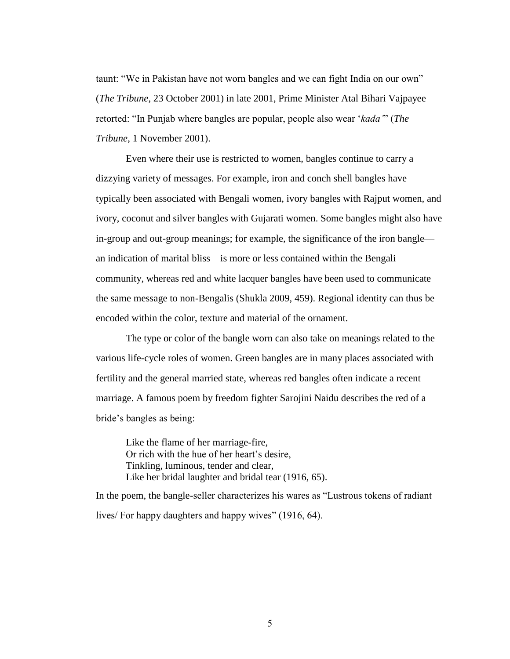taunt: "We in Pakistan have not worn bangles and we can fight India on our own" (*The Tribune*, 23 October 2001) in late 2001, Prime Minister Atal Bihari Vajpayee retorted: "In Punjab where bangles are popular, people also wear "*kada'*" (*The Tribune*, 1 November 2001).

Even where their use is restricted to women, bangles continue to carry a dizzying variety of messages. For example, iron and conch shell bangles have typically been associated with Bengali women, ivory bangles with Rajput women, and ivory, coconut and silver bangles with Gujarati women. Some bangles might also have in-group and out-group meanings; for example, the significance of the iron bangle an indication of marital bliss—is more or less contained within the Bengali community, whereas red and white lacquer bangles have been used to communicate the same message to non-Bengalis (Shukla 2009, 459). Regional identity can thus be encoded within the color, texture and material of the ornament.

The type or color of the bangle worn can also take on meanings related to the various life-cycle roles of women. Green bangles are in many places associated with fertility and the general married state, whereas red bangles often indicate a recent marriage. A famous poem by freedom fighter Sarojini Naidu describes the red of a bride"s bangles as being:

Like the flame of her marriage-fire, Or rich with the hue of her heart"s desire, Tinkling, luminous, tender and clear, Like her bridal laughter and bridal tear (1916, 65).

In the poem, the bangle-seller characterizes his wares as "Lustrous tokens of radiant lives/ For happy daughters and happy wives" (1916, 64).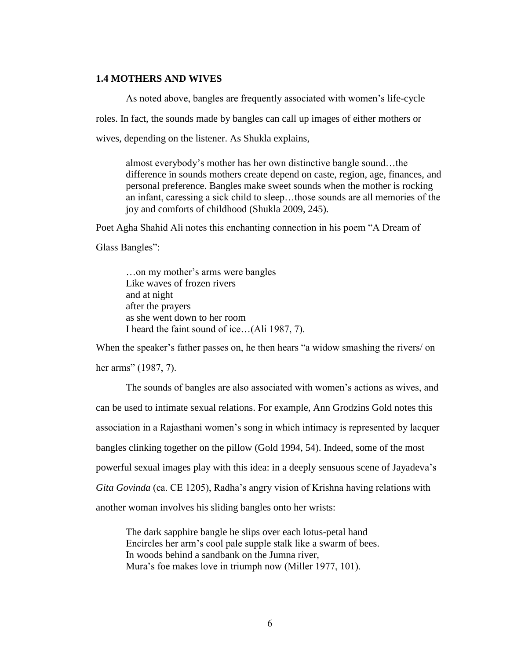## **1.4 MOTHERS AND WIVES**

As noted above, bangles are frequently associated with women"s life-cycle roles. In fact, the sounds made by bangles can call up images of either mothers or wives, depending on the listener. As Shukla explains,

almost everybody"s mother has her own distinctive bangle sound…the difference in sounds mothers create depend on caste, region, age, finances, and personal preference. Bangles make sweet sounds when the mother is rocking an infant, caressing a sick child to sleep…those sounds are all memories of the joy and comforts of childhood (Shukla 2009, 245).

Poet Agha Shahid Ali notes this enchanting connection in his poem "A Dream of

Glass Bangles":

…on my mother"s arms were bangles Like waves of frozen rivers and at night after the prayers as she went down to her room I heard the faint sound of ice…(Ali 1987, 7).

When the speaker's father passes on, he then hears "a widow smashing the rivers/ on her arms" (1987, 7).

The sounds of bangles are also associated with women"s actions as wives, and can be used to intimate sexual relations. For example, Ann Grodzins Gold notes this association in a Rajasthani women"s song in which intimacy is represented by lacquer bangles clinking together on the pillow (Gold 1994, 54). Indeed, some of the most powerful sexual images play with this idea: in a deeply sensuous scene of Jayadeva"s *Gita Govinda* (ca. CE 1205), Radha"s angry vision of Krishna having relations with another woman involves his sliding bangles onto her wrists:

The dark sapphire bangle he slips over each lotus-petal hand Encircles her arm"s cool pale supple stalk like a swarm of bees. In woods behind a sandbank on the Jumna river, Mura"s foe makes love in triumph now (Miller 1977, 101).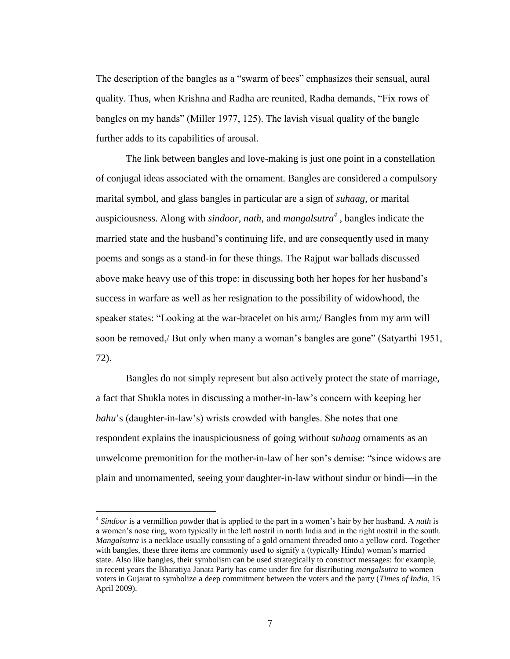The description of the bangles as a "swarm of bees" emphasizes their sensual, aural quality. Thus, when Krishna and Radha are reunited, Radha demands, "Fix rows of bangles on my hands" (Miller 1977, 125). The lavish visual quality of the bangle further adds to its capabilities of arousal.

The link between bangles and love-making is just one point in a constellation of conjugal ideas associated with the ornament. Bangles are considered a compulsory marital symbol, and glass bangles in particular are a sign of *suhaag*, or marital auspiciousness. Along with *sindoor*, *nath*, and *mangalsutra<sup>4</sup>* , bangles indicate the married state and the husband"s continuing life, and are consequently used in many poems and songs as a stand-in for these things. The Rajput war ballads discussed above make heavy use of this trope: in discussing both her hopes for her husband"s success in warfare as well as her resignation to the possibility of widowhood, the speaker states: "Looking at the war-bracelet on his arm;/ Bangles from my arm will soon be removed,/ But only when many a woman"s bangles are gone" (Satyarthi 1951, 72).

Bangles do not simply represent but also actively protect the state of marriage, a fact that Shukla notes in discussing a mother-in-law"s concern with keeping her *bahu*'s (daughter-in-law's) wrists crowded with bangles. She notes that one respondent explains the inauspiciousness of going without *suhaag* ornaments as an unwelcome premonition for the mother-in-law of her son"s demise: "since widows are plain and unornamented, seeing your daughter-in-law without sindur or bindi—in the

<sup>4</sup> *Sindoor* is a vermillion powder that is applied to the part in a women"s hair by her husband. A *nath* is a women"s nose ring, worn typically in the left nostril in north India and in the right nostril in the south. *Mangalsutra* is a necklace usually consisting of a gold ornament threaded onto a yellow cord. Together with bangles, these three items are commonly used to signify a (typically Hindu) woman"s married state. Also like bangles, their symbolism can be used strategically to construct messages: for example, in recent years the Bharatiya Janata Party has come under fire for distributing *mangalsutra* to women voters in Gujarat to symbolize a deep commitment between the voters and the party (*Times of India*, 15 April 2009).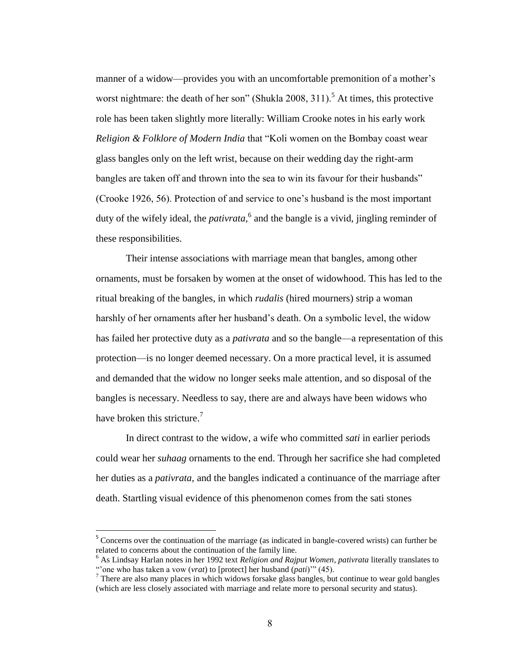manner of a widow—provides you with an uncomfortable premonition of a mother's worst nightmare: the death of her son" (Shukla 2008,  $311$ ).<sup>5</sup> At times, this protective role has been taken slightly more literally: William Crooke notes in his early work *Religion & Folklore of Modern India* that "Koli women on the Bombay coast wear glass bangles only on the left wrist, because on their wedding day the right-arm bangles are taken off and thrown into the sea to win its favour for their husbands" (Crooke 1926, 56). Protection of and service to one"s husband is the most important duty of the wifely ideal, the *pativrata*,<sup>6</sup> and the bangle is a vivid, jingling reminder of these responsibilities.

Their intense associations with marriage mean that bangles, among other ornaments, must be forsaken by women at the onset of widowhood. This has led to the ritual breaking of the bangles, in which *rudalis* (hired mourners) strip a woman harshly of her ornaments after her husband"s death. On a symbolic level, the widow has failed her protective duty as a *pativrata* and so the bangle—a representation of this protection—is no longer deemed necessary. On a more practical level, it is assumed and demanded that the widow no longer seeks male attention, and so disposal of the bangles is necessary. Needless to say, there are and always have been widows who have broken this stricture.<sup>7</sup>

In direct contrast to the widow, a wife who committed *sati* in earlier periods could wear her *suhaag* ornaments to the end. Through her sacrifice she had completed her duties as a *pativrata*, and the bangles indicated a continuance of the marriage after death. Startling visual evidence of this phenomenon comes from the sati stones

<sup>&</sup>lt;sup>5</sup> Concerns over the continuation of the marriage (as indicated in bangle-covered wrists) can further be related to concerns about the continuation of the family line.

<sup>6</sup> As Lindsay Harlan notes in her 1992 text *Religion and Rajput Women*, *pativrata* literally translates to "'one who has taken a vow (*vrat*) to [protect] her husband (*pati*)'" (45).

 $<sup>7</sup>$  There are also many places in which widows forsake glass bangles, but continue to wear gold bangles</sup> (which are less closely associated with marriage and relate more to personal security and status).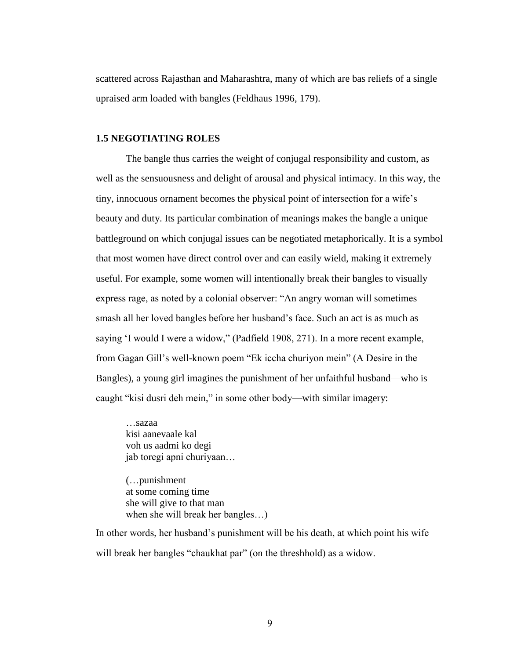scattered across Rajasthan and Maharashtra, many of which are bas reliefs of a single upraised arm loaded with bangles (Feldhaus 1996, 179).

## **1.5 NEGOTIATING ROLES**

The bangle thus carries the weight of conjugal responsibility and custom, as well as the sensuousness and delight of arousal and physical intimacy. In this way, the tiny, innocuous ornament becomes the physical point of intersection for a wife"s beauty and duty. Its particular combination of meanings makes the bangle a unique battleground on which conjugal issues can be negotiated metaphorically. It is a symbol that most women have direct control over and can easily wield, making it extremely useful. For example, some women will intentionally break their bangles to visually express rage, as noted by a colonial observer: "An angry woman will sometimes smash all her loved bangles before her husband"s face. Such an act is as much as saying 'I would I were a widow," (Padfield 1908, 271). In a more recent example, from Gagan Gill"s well-known poem "Ek iccha churiyon mein" (A Desire in the Bangles), a young girl imagines the punishment of her unfaithful husband—who is caught "kisi dusri deh mein," in some other body—with similar imagery:

…sazaa kisi aanevaale kal voh us aadmi ko degi jab toregi apni churiyaan…

(…punishment at some coming time she will give to that man when she will break her bangles…)

In other words, her husband"s punishment will be his death, at which point his wife will break her bangles "chaukhat par" (on the threshhold) as a widow.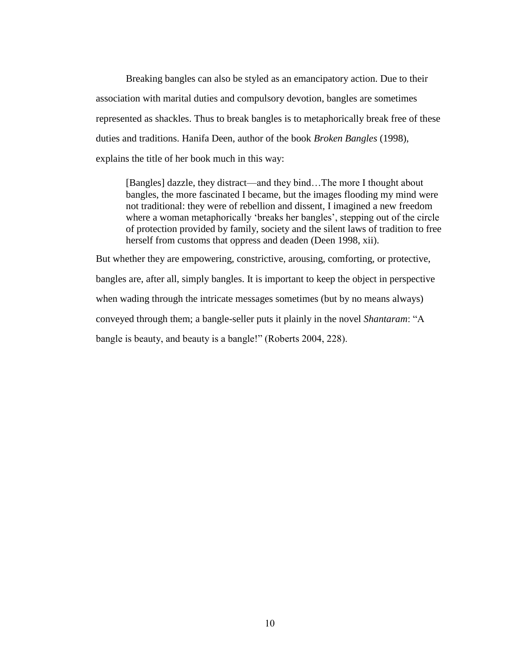Breaking bangles can also be styled as an emancipatory action. Due to their association with marital duties and compulsory devotion, bangles are sometimes represented as shackles. Thus to break bangles is to metaphorically break free of these duties and traditions. Hanifa Deen, author of the book *Broken Bangles* (1998), explains the title of her book much in this way:

[Bangles] dazzle, they distract—and they bind…The more I thought about bangles, the more fascinated I became, but the images flooding my mind were not traditional: they were of rebellion and dissent, I imagined a new freedom where a woman metaphorically 'breaks her bangles', stepping out of the circle of protection provided by family, society and the silent laws of tradition to free herself from customs that oppress and deaden (Deen 1998, xii).

But whether they are empowering, constrictive, arousing, comforting, or protective, bangles are, after all, simply bangles. It is important to keep the object in perspective when wading through the intricate messages sometimes (but by no means always) conveyed through them; a bangle-seller puts it plainly in the novel *Shantaram*: "A bangle is beauty, and beauty is a bangle!" (Roberts 2004, 228).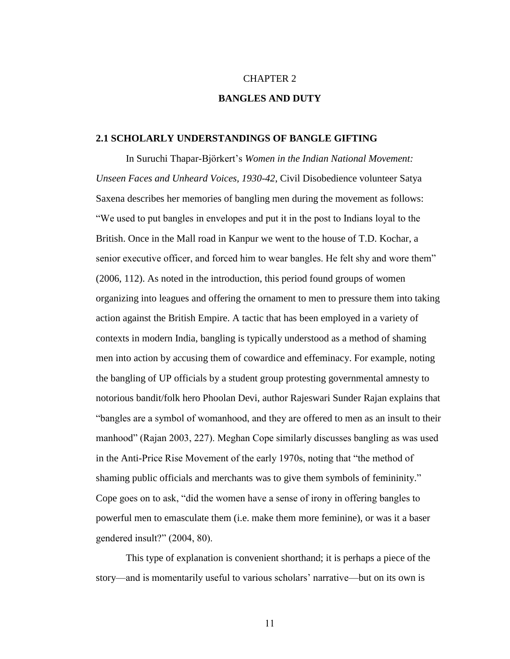## CHAPTER 2

## **BANGLES AND DUTY**

#### **2.1 SCHOLARLY UNDERSTANDINGS OF BANGLE GIFTING**

In Suruchi Thapar-Björkert"s *Women in the Indian National Movement: Unseen Faces and Unheard Voices, 1930-42*, Civil Disobedience volunteer Satya Saxena describes her memories of bangling men during the movement as follows: "We used to put bangles in envelopes and put it in the post to Indians loyal to the British. Once in the Mall road in Kanpur we went to the house of T.D. Kochar, a senior executive officer, and forced him to wear bangles. He felt shy and wore them" (2006, 112). As noted in the introduction, this period found groups of women organizing into leagues and offering the ornament to men to pressure them into taking action against the British Empire. A tactic that has been employed in a variety of contexts in modern India, bangling is typically understood as a method of shaming men into action by accusing them of cowardice and effeminacy. For example, noting the bangling of UP officials by a student group protesting governmental amnesty to notorious bandit/folk hero Phoolan Devi, author Rajeswari Sunder Rajan explains that "bangles are a symbol of womanhood, and they are offered to men as an insult to their manhood" (Rajan 2003, 227). Meghan Cope similarly discusses bangling as was used in the Anti-Price Rise Movement of the early 1970s, noting that "the method of shaming public officials and merchants was to give them symbols of femininity." Cope goes on to ask, "did the women have a sense of irony in offering bangles to powerful men to emasculate them (i.e. make them more feminine), or was it a baser gendered insult?" (2004, 80).

This type of explanation is convenient shorthand; it is perhaps a piece of the story—and is momentarily useful to various scholars" narrative—but on its own is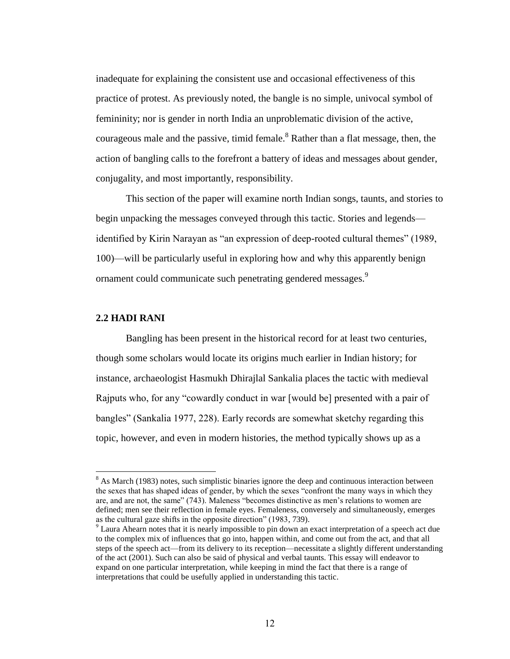inadequate for explaining the consistent use and occasional effectiveness of this practice of protest. As previously noted, the bangle is no simple, univocal symbol of femininity; nor is gender in north India an unproblematic division of the active, courageous male and the passive, timid female. $8$  Rather than a flat message, then, the action of bangling calls to the forefront a battery of ideas and messages about gender, conjugality, and most importantly, responsibility.

This section of the paper will examine north Indian songs, taunts, and stories to begin unpacking the messages conveyed through this tactic. Stories and legends identified by Kirin Narayan as "an expression of deep-rooted cultural themes" (1989, 100)—will be particularly useful in exploring how and why this apparently benign ornament could communicate such penetrating gendered messages.<sup>9</sup>

## **2.2 HADI RANI**

 $\overline{a}$ 

Bangling has been present in the historical record for at least two centuries, though some scholars would locate its origins much earlier in Indian history; for instance, archaeologist Hasmukh Dhirajlal Sankalia places the tactic with medieval Rajputs who, for any "cowardly conduct in war [would be] presented with a pair of bangles" (Sankalia 1977, 228). Early records are somewhat sketchy regarding this topic, however, and even in modern histories, the method typically shows up as a

<sup>&</sup>lt;sup>8</sup> As March (1983) notes, such simplistic binaries ignore the deep and continuous interaction between the sexes that has shaped ideas of gender, by which the sexes "confront the many ways in which they are, and are not, the same" (743). Maleness "becomes distinctive as men"s relations to women are defined; men see their reflection in female eyes. Femaleness, conversely and simultaneously, emerges as the cultural gaze shifts in the opposite direction" (1983, 739).

<sup>&</sup>lt;sup>9</sup> Laura Ahearn notes that it is nearly impossible to pin down an exact interpretation of a speech act due to the complex mix of influences that go into, happen within, and come out from the act, and that all steps of the speech act—from its delivery to its reception—necessitate a slightly different understanding of the act (2001). Such can also be said of physical and verbal taunts. This essay will endeavor to expand on one particular interpretation, while keeping in mind the fact that there is a range of interpretations that could be usefully applied in understanding this tactic.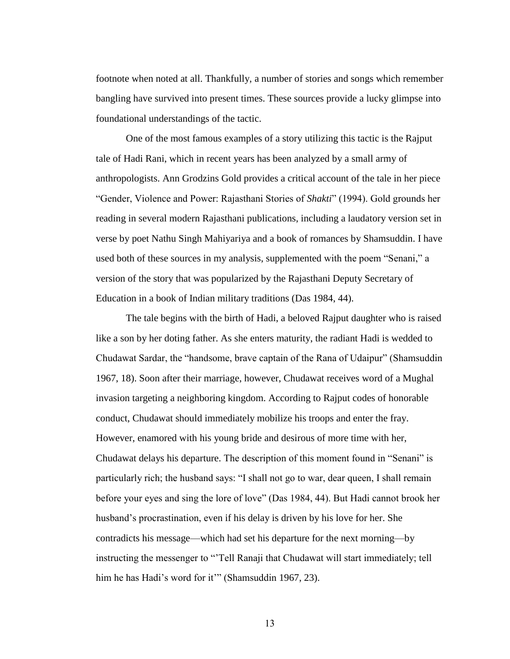footnote when noted at all. Thankfully, a number of stories and songs which remember bangling have survived into present times. These sources provide a lucky glimpse into foundational understandings of the tactic.

One of the most famous examples of a story utilizing this tactic is the Rajput tale of Hadi Rani, which in recent years has been analyzed by a small army of anthropologists. Ann Grodzins Gold provides a critical account of the tale in her piece "Gender, Violence and Power: Rajasthani Stories of *Shakti*" (1994). Gold grounds her reading in several modern Rajasthani publications, including a laudatory version set in verse by poet Nathu Singh Mahiyariya and a book of romances by Shamsuddin. I have used both of these sources in my analysis, supplemented with the poem "Senani," a version of the story that was popularized by the Rajasthani Deputy Secretary of Education in a book of Indian military traditions (Das 1984, 44).

The tale begins with the birth of Hadi, a beloved Rajput daughter who is raised like a son by her doting father. As she enters maturity, the radiant Hadi is wedded to Chudawat Sardar, the "handsome, brave captain of the Rana of Udaipur" (Shamsuddin 1967, 18). Soon after their marriage, however, Chudawat receives word of a Mughal invasion targeting a neighboring kingdom. According to Rajput codes of honorable conduct, Chudawat should immediately mobilize his troops and enter the fray. However, enamored with his young bride and desirous of more time with her, Chudawat delays his departure. The description of this moment found in "Senani" is particularly rich; the husband says: "I shall not go to war, dear queen, I shall remain before your eyes and sing the lore of love" (Das 1984, 44). But Hadi cannot brook her husband"s procrastination, even if his delay is driven by his love for her. She contradicts his message—which had set his departure for the next morning—by instructing the messenger to ""Tell Ranaji that Chudawat will start immediately; tell him he has Hadi's word for it"" (Shamsuddin 1967, 23).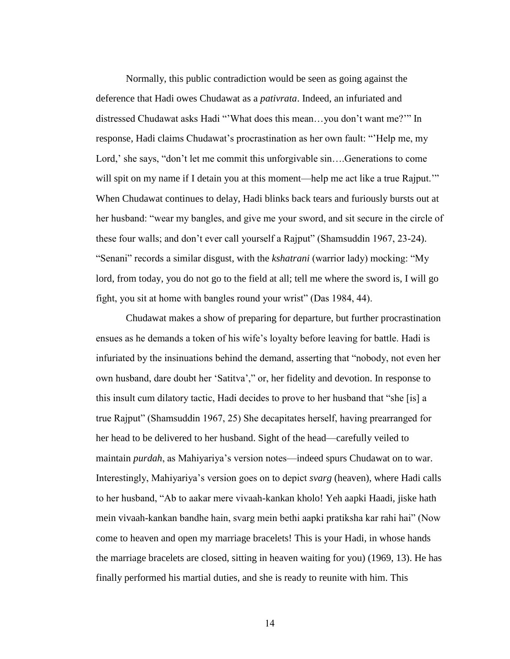Normally, this public contradiction would be seen as going against the deference that Hadi owes Chudawat as a *pativrata*. Indeed, an infuriated and distressed Chudawat asks Hadi ""What does this mean…you don"t want me?"" In response, Hadi claims Chudawat"s procrastination as her own fault: ""Help me, my Lord,' she says, "don't let me commit this unforgivable sin....Generations to come will spit on my name if I detain you at this moment—help me act like a true Rajput." When Chudawat continues to delay, Hadi blinks back tears and furiously bursts out at her husband: "wear my bangles, and give me your sword, and sit secure in the circle of these four walls; and don"t ever call yourself a Rajput" (Shamsuddin 1967, 23-24). "Senani" records a similar disgust, with the *kshatrani* (warrior lady) mocking: "My lord, from today, you do not go to the field at all; tell me where the sword is, I will go fight, you sit at home with bangles round your wrist" (Das 1984, 44).

Chudawat makes a show of preparing for departure, but further procrastination ensues as he demands a token of his wife"s loyalty before leaving for battle. Hadi is infuriated by the insinuations behind the demand, asserting that "nobody, not even her own husband, dare doubt her "Satitva"," or, her fidelity and devotion. In response to this insult cum dilatory tactic, Hadi decides to prove to her husband that "she [is] a true Rajput" (Shamsuddin 1967, 25) She decapitates herself, having prearranged for her head to be delivered to her husband. Sight of the head—carefully veiled to maintain *purdah*, as Mahiyariya"s version notes—indeed spurs Chudawat on to war. Interestingly, Mahiyariya"s version goes on to depict *svarg* (heaven), where Hadi calls to her husband, "Ab to aakar mere vivaah-kankan kholo! Yeh aapki Haadi, jiske hath mein vivaah-kankan bandhe hain, svarg mein bethi aapki pratiksha kar rahi hai" (Now come to heaven and open my marriage bracelets! This is your Hadi, in whose hands the marriage bracelets are closed, sitting in heaven waiting for you) (1969, 13). He has finally performed his martial duties, and she is ready to reunite with him. This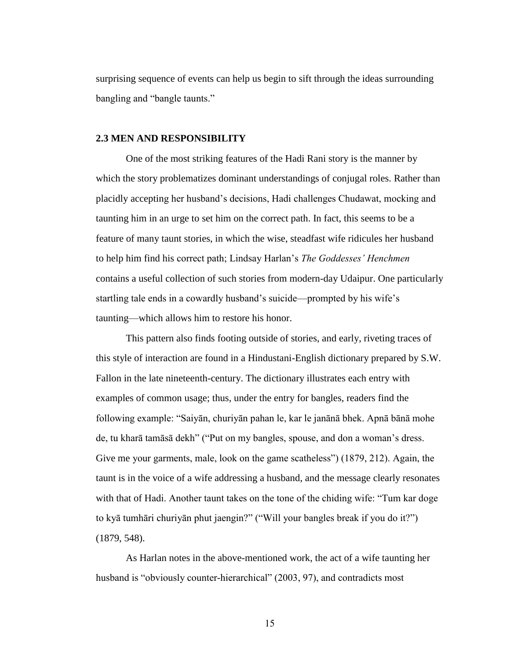surprising sequence of events can help us begin to sift through the ideas surrounding bangling and "bangle taunts."

#### **2.3 MEN AND RESPONSIBILITY**

One of the most striking features of the Hadi Rani story is the manner by which the story problematizes dominant understandings of conjugal roles. Rather than placidly accepting her husband"s decisions, Hadi challenges Chudawat, mocking and taunting him in an urge to set him on the correct path. In fact, this seems to be a feature of many taunt stories, in which the wise, steadfast wife ridicules her husband to help him find his correct path; Lindsay Harlan"s *The Goddesses' Henchmen*  contains a useful collection of such stories from modern-day Udaipur. One particularly startling tale ends in a cowardly husband's suicide—prompted by his wife's taunting—which allows him to restore his honor.

This pattern also finds footing outside of stories, and early, riveting traces of this style of interaction are found in a Hindustani-English dictionary prepared by S.W. Fallon in the late nineteenth-century. The dictionary illustrates each entry with examples of common usage; thus, under the entry for bangles, readers find the following example: "Saiyān, churiyān pahan le, kar le janānā bhek. Apnā bānā mohe de, tu kharā tamāsā dekh" ("Put on my bangles, spouse, and don a woman"s dress. Give me your garments, male, look on the game scatheless") (1879, 212). Again, the taunt is in the voice of a wife addressing a husband, and the message clearly resonates with that of Hadi. Another taunt takes on the tone of the chiding wife: "Tum kar doge to kyā tumhāri churiyān phut jaengin?" ("Will your bangles break if you do it?") (1879, 548).

As Harlan notes in the above-mentioned work, the act of a wife taunting her husband is "obviously counter-hierarchical" (2003, 97), and contradicts most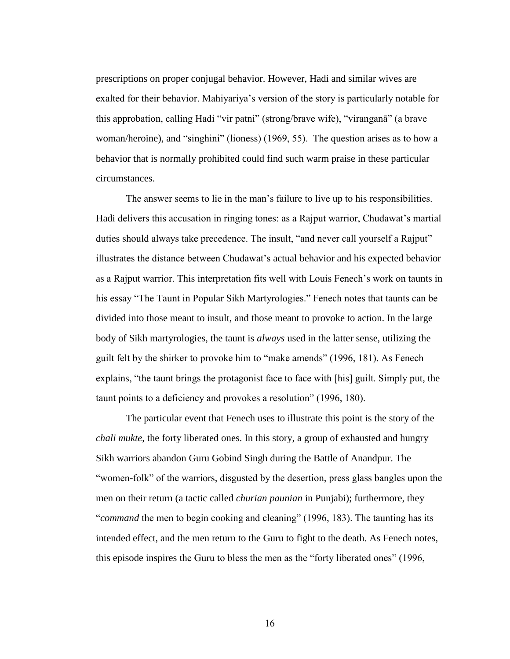prescriptions on proper conjugal behavior. However, Hadi and similar wives are exalted for their behavior. Mahiyariya"s version of the story is particularly notable for this approbation, calling Hadi "vir patni" (strong/brave wife), "viranganā" (a brave woman/heroine), and "singhini" (lioness) (1969, 55). The question arises as to how a behavior that is normally prohibited could find such warm praise in these particular circumstances.

The answer seems to lie in the man"s failure to live up to his responsibilities. Hadi delivers this accusation in ringing tones: as a Rajput warrior, Chudawat"s martial duties should always take precedence. The insult, "and never call yourself a Rajput" illustrates the distance between Chudawat"s actual behavior and his expected behavior as a Rajput warrior. This interpretation fits well with Louis Fenech"s work on taunts in his essay "The Taunt in Popular Sikh Martyrologies." Fenech notes that taunts can be divided into those meant to insult, and those meant to provoke to action. In the large body of Sikh martyrologies, the taunt is *always* used in the latter sense, utilizing the guilt felt by the shirker to provoke him to "make amends" (1996, 181). As Fenech explains, "the taunt brings the protagonist face to face with [his] guilt. Simply put, the taunt points to a deficiency and provokes a resolution" (1996, 180).

The particular event that Fenech uses to illustrate this point is the story of the *chali mukte*, the forty liberated ones. In this story, a group of exhausted and hungry Sikh warriors abandon Guru Gobind Singh during the Battle of Anandpur. The "women-folk" of the warriors, disgusted by the desertion, press glass bangles upon the men on their return (a tactic called *churian paunian* in Punjabi); furthermore, they "*command* the men to begin cooking and cleaning" (1996, 183). The taunting has its intended effect, and the men return to the Guru to fight to the death. As Fenech notes, this episode inspires the Guru to bless the men as the "forty liberated ones" (1996,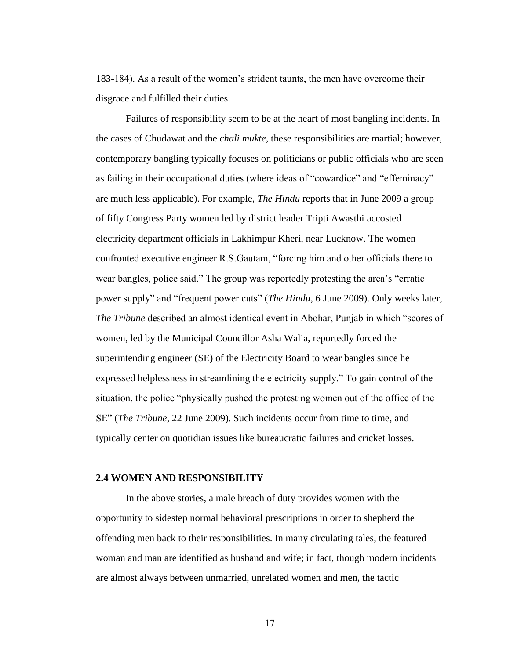183-184). As a result of the women"s strident taunts, the men have overcome their disgrace and fulfilled their duties.

Failures of responsibility seem to be at the heart of most bangling incidents. In the cases of Chudawat and the *chali mukte*, these responsibilities are martial; however, contemporary bangling typically focuses on politicians or public officials who are seen as failing in their occupational duties (where ideas of "cowardice" and "effeminacy" are much less applicable). For example, *The Hindu* reports that in June 2009 a group of fifty Congress Party women led by district leader Tripti Awasthi accosted electricity department officials in Lakhimpur Kheri, near Lucknow. The women confronted executive engineer R.S.Gautam, "forcing him and other officials there to wear bangles, police said." The group was reportedly protesting the area"s "erratic power supply" and "frequent power cuts" (*The Hindu*, 6 June 2009). Only weeks later, *The Tribune* described an almost identical event in Abohar, Punjab in which "scores of women, led by the Municipal Councillor Asha Walia, reportedly forced the superintending engineer (SE) of the Electricity Board to wear bangles since he expressed helplessness in streamlining the electricity supply." To gain control of the situation, the police "physically pushed the protesting women out of the office of the SE" (*The Tribune*, 22 June 2009). Such incidents occur from time to time, and typically center on quotidian issues like bureaucratic failures and cricket losses.

## **2.4 WOMEN AND RESPONSIBILITY**

In the above stories, a male breach of duty provides women with the opportunity to sidestep normal behavioral prescriptions in order to shepherd the offending men back to their responsibilities. In many circulating tales, the featured woman and man are identified as husband and wife; in fact, though modern incidents are almost always between unmarried, unrelated women and men, the tactic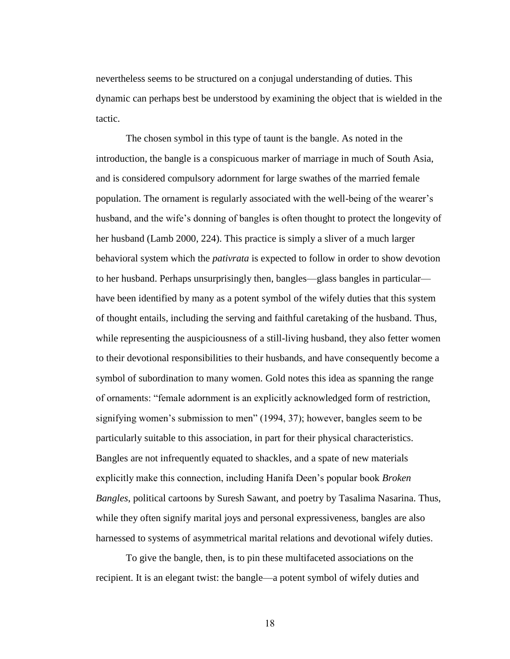nevertheless seems to be structured on a conjugal understanding of duties. This dynamic can perhaps best be understood by examining the object that is wielded in the tactic.

The chosen symbol in this type of taunt is the bangle. As noted in the introduction, the bangle is a conspicuous marker of marriage in much of South Asia, and is considered compulsory adornment for large swathes of the married female population. The ornament is regularly associated with the well-being of the wearer"s husband, and the wife's donning of bangles is often thought to protect the longevity of her husband (Lamb 2000, 224). This practice is simply a sliver of a much larger behavioral system which the *pativrata* is expected to follow in order to show devotion to her husband. Perhaps unsurprisingly then, bangles—glass bangles in particular have been identified by many as a potent symbol of the wifely duties that this system of thought entails, including the serving and faithful caretaking of the husband. Thus, while representing the auspiciousness of a still-living husband, they also fetter women to their devotional responsibilities to their husbands, and have consequently become a symbol of subordination to many women. Gold notes this idea as spanning the range of ornaments: "female adornment is an explicitly acknowledged form of restriction, signifying women's submission to men" (1994, 37); however, bangles seem to be particularly suitable to this association, in part for their physical characteristics. Bangles are not infrequently equated to shackles, and a spate of new materials explicitly make this connection, including Hanifa Deen"s popular book *Broken Bangles*, political cartoons by Suresh Sawant, and poetry by Tasalima Nasarina. Thus, while they often signify marital joys and personal expressiveness, bangles are also harnessed to systems of asymmetrical marital relations and devotional wifely duties.

To give the bangle, then, is to pin these multifaceted associations on the recipient. It is an elegant twist: the bangle—a potent symbol of wifely duties and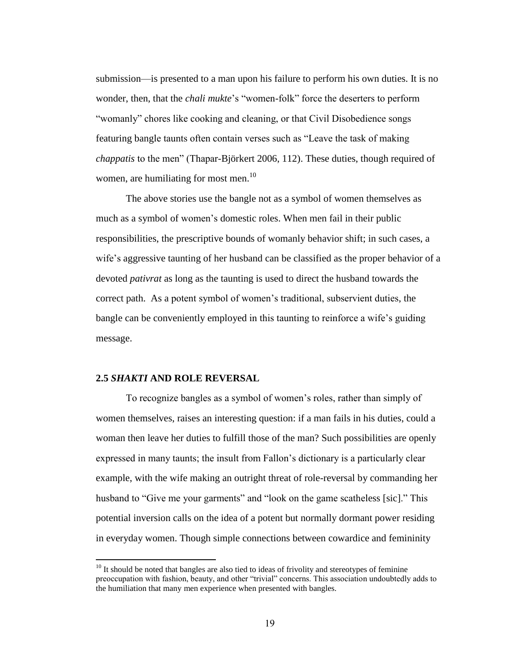submission—is presented to a man upon his failure to perform his own duties. It is no wonder, then, that the *chali mukte*"s "women-folk" force the deserters to perform "womanly" chores like cooking and cleaning, or that Civil Disobedience songs featuring bangle taunts often contain verses such as "Leave the task of making *chappatis* to the men" (Thapar-Björkert 2006, 112). These duties, though required of women, are humiliating for most men.<sup>10</sup>

The above stories use the bangle not as a symbol of women themselves as much as a symbol of women"s domestic roles. When men fail in their public responsibilities, the prescriptive bounds of womanly behavior shift; in such cases, a wife's aggressive taunting of her husband can be classified as the proper behavior of a devoted *pativrat* as long as the taunting is used to direct the husband towards the correct path. As a potent symbol of women"s traditional, subservient duties, the bangle can be conveniently employed in this taunting to reinforce a wife"s guiding message.

#### **2.5** *SHAKTI* **AND ROLE REVERSAL**

 $\overline{a}$ 

To recognize bangles as a symbol of women"s roles, rather than simply of women themselves, raises an interesting question: if a man fails in his duties, could a woman then leave her duties to fulfill those of the man? Such possibilities are openly expressed in many taunts; the insult from Fallon"s dictionary is a particularly clear example, with the wife making an outright threat of role-reversal by commanding her husband to "Give me your garments" and "look on the game scatheless [sic]." This potential inversion calls on the idea of a potent but normally dormant power residing in everyday women. Though simple connections between cowardice and femininity

<sup>&</sup>lt;sup>10</sup> It should be noted that bangles are also tied to ideas of frivolity and stereotypes of feminine preoccupation with fashion, beauty, and other "trivial" concerns. This association undoubtedly adds to the humiliation that many men experience when presented with bangles.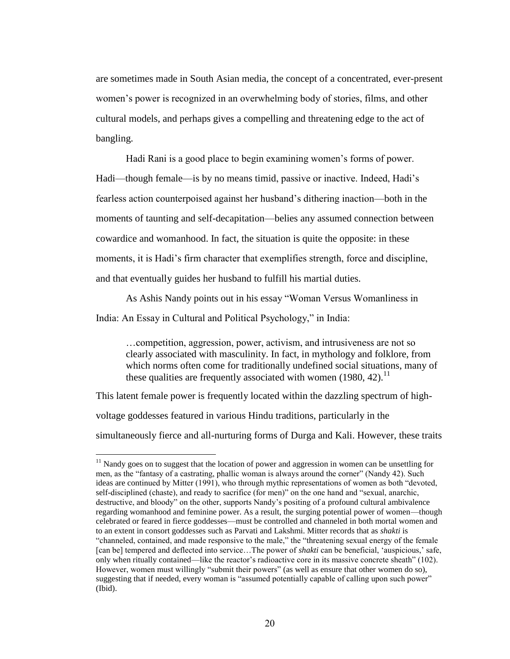are sometimes made in South Asian media, the concept of a concentrated, ever-present women"s power is recognized in an overwhelming body of stories, films, and other cultural models, and perhaps gives a compelling and threatening edge to the act of bangling.

Hadi Rani is a good place to begin examining women"s forms of power. Hadi—though female—is by no means timid, passive or inactive. Indeed, Hadi"s fearless action counterpoised against her husband"s dithering inaction—both in the moments of taunting and self-decapitation—belies any assumed connection between cowardice and womanhood. In fact, the situation is quite the opposite: in these moments, it is Hadi's firm character that exemplifies strength, force and discipline, and that eventually guides her husband to fulfill his martial duties.

As Ashis Nandy points out in his essay "Woman Versus Womanliness in India: An Essay in Cultural and Political Psychology," in India:

…competition, aggression, power, activism, and intrusiveness are not so clearly associated with masculinity. In fact, in mythology and folklore, from which norms often come for traditionally undefined social situations, many of these qualities are frequently associated with women  $(1980, 42)$ .<sup>11</sup>

This latent female power is frequently located within the dazzling spectrum of highvoltage goddesses featured in various Hindu traditions, particularly in the simultaneously fierce and all-nurturing forms of Durga and Kali. However, these traits

 $11$  Nandy goes on to suggest that the location of power and aggression in women can be unsettling for men, as the "fantasy of a castrating, phallic woman is always around the corner" (Nandy 42). Such ideas are continued by Mitter (1991), who through mythic representations of women as both "devoted, self-disciplined (chaste), and ready to sacrifice (for men)" on the one hand and "sexual, anarchic, destructive, and bloody" on the other, supports Nandy"s positing of a profound cultural ambivalence regarding womanhood and feminine power. As a result, the surging potential power of women—though celebrated or feared in fierce goddesses—must be controlled and channeled in both mortal women and to an extent in consort goddesses such as Parvati and Lakshmi. Mitter records that as *shakti* is "channeled, contained, and made responsive to the male," the "threatening sexual energy of the female [can be] tempered and deflected into service…The power of *shakti* can be beneficial, "auspicious," safe, only when ritually contained—like the reactor"s radioactive core in its massive concrete sheath" (102). However, women must willingly "submit their powers" (as well as ensure that other women do so), suggesting that if needed, every woman is "assumed potentially capable of calling upon such power" (Ibid).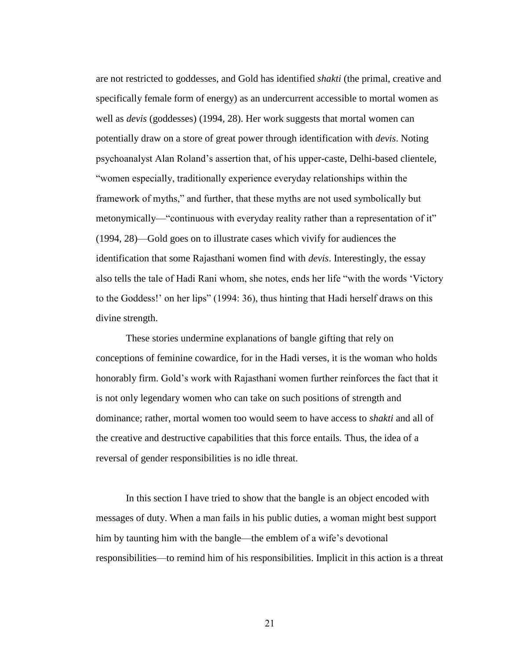are not restricted to goddesses, and Gold has identified *shakti* (the primal, creative and specifically female form of energy) as an undercurrent accessible to mortal women as well as *devis* (goddesses) (1994, 28). Her work suggests that mortal women can potentially draw on a store of great power through identification with *devis*. Noting psychoanalyst Alan Roland"s assertion that, of his upper-caste, Delhi-based clientele, "women especially, traditionally experience everyday relationships within the framework of myths," and further, that these myths are not used symbolically but metonymically—"continuous with everyday reality rather than a representation of it" (1994, 28)—Gold goes on to illustrate cases which vivify for audiences the identification that some Rajasthani women find with *devis*. Interestingly, the essay also tells the tale of Hadi Rani whom, she notes, ends her life "with the words "Victory to the Goddess!" on her lips" (1994: 36), thus hinting that Hadi herself draws on this divine strength.

These stories undermine explanations of bangle gifting that rely on conceptions of feminine cowardice, for in the Hadi verses, it is the woman who holds honorably firm. Gold"s work with Rajasthani women further reinforces the fact that it is not only legendary women who can take on such positions of strength and dominance; rather, mortal women too would seem to have access to *shakti* and all of the creative and destructive capabilities that this force entails*.* Thus, the idea of a reversal of gender responsibilities is no idle threat.

In this section I have tried to show that the bangle is an object encoded with messages of duty. When a man fails in his public duties, a woman might best support him by taunting him with the bangle—the emblem of a wife's devotional responsibilities—to remind him of his responsibilities. Implicit in this action is a threat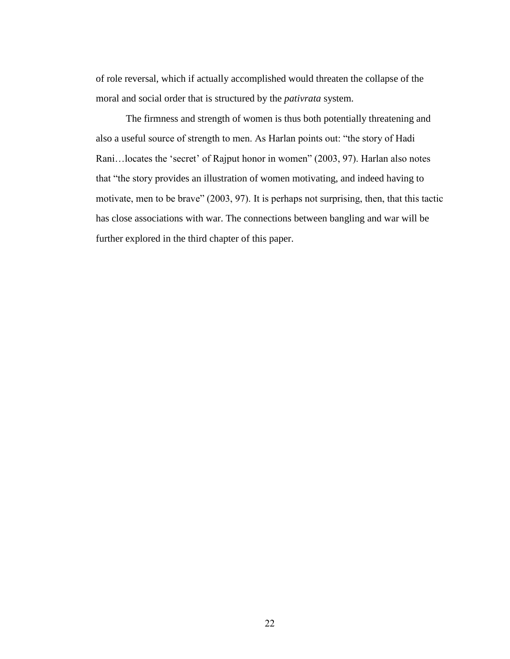of role reversal, which if actually accomplished would threaten the collapse of the moral and social order that is structured by the *pativrata* system.

The firmness and strength of women is thus both potentially threatening and also a useful source of strength to men. As Harlan points out: "the story of Hadi Rani...locates the 'secret' of Rajput honor in women" (2003, 97). Harlan also notes that "the story provides an illustration of women motivating, and indeed having to motivate, men to be brave" (2003, 97). It is perhaps not surprising, then, that this tactic has close associations with war. The connections between bangling and war will be further explored in the third chapter of this paper.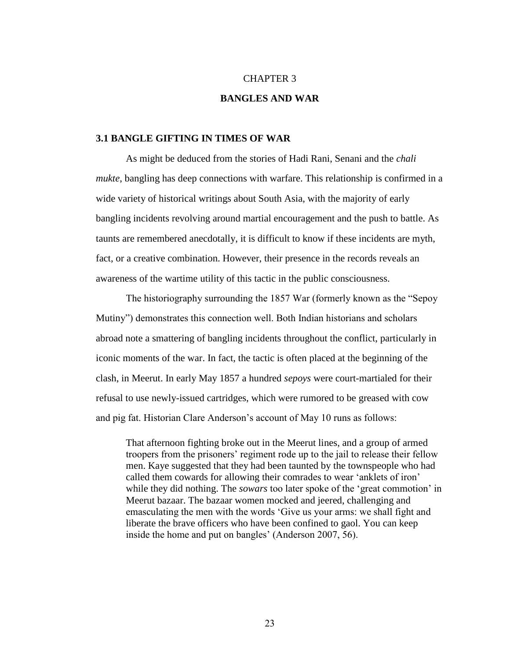## CHAPTER 3

## **BANGLES AND WAR**

## **3.1 BANGLE GIFTING IN TIMES OF WAR**

As might be deduced from the stories of Hadi Rani, Senani and the *chali mukte*, bangling has deep connections with warfare. This relationship is confirmed in a wide variety of historical writings about South Asia, with the majority of early bangling incidents revolving around martial encouragement and the push to battle. As taunts are remembered anecdotally, it is difficult to know if these incidents are myth, fact, or a creative combination. However, their presence in the records reveals an awareness of the wartime utility of this tactic in the public consciousness.

The historiography surrounding the 1857 War (formerly known as the "Sepoy Mutiny") demonstrates this connection well. Both Indian historians and scholars abroad note a smattering of bangling incidents throughout the conflict, particularly in iconic moments of the war. In fact, the tactic is often placed at the beginning of the clash, in Meerut. In early May 1857 a hundred *sepoys* were court-martialed for their refusal to use newly-issued cartridges, which were rumored to be greased with cow and pig fat. Historian Clare Anderson's account of May 10 runs as follows:

That afternoon fighting broke out in the Meerut lines, and a group of armed troopers from the prisoners" regiment rode up to the jail to release their fellow men. Kaye suggested that they had been taunted by the townspeople who had called them cowards for allowing their comrades to wear "anklets of iron" while they did nothing. The *sowars* too later spoke of the 'great commotion' in Meerut bazaar. The bazaar women mocked and jeered, challenging and emasculating the men with the words "Give us your arms: we shall fight and liberate the brave officers who have been confined to gaol. You can keep inside the home and put on bangles' (Anderson 2007, 56).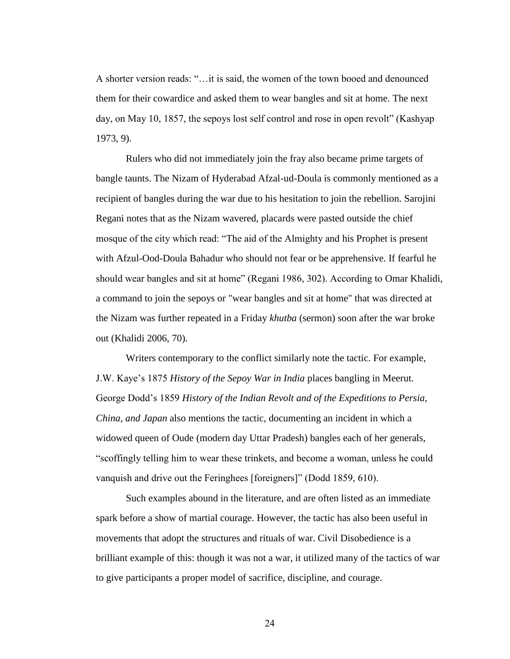A shorter version reads: "…it is said, the women of the town booed and denounced them for their cowardice and asked them to wear bangles and sit at home. The next day, on May 10, 1857, the sepoys lost self control and rose in open revolt" (Kashyap 1973, 9).

Rulers who did not immediately join the fray also became prime targets of bangle taunts. The Nizam of Hyderabad Afzal-ud-Doula is commonly mentioned as a recipient of bangles during the war due to his hesitation to join the rebellion. Sarojini Regani notes that as the Nizam wavered, placards were pasted outside the chief mosque of the city which read: "The aid of the Almighty and his Prophet is present with Afzul-Ood-Doula Bahadur who should not fear or be apprehensive. If fearful he should wear bangles and sit at home" (Regani 1986, 302). According to Omar Khalidi, a command to join the sepoys or "wear bangles and sit at home" that was directed at the Nizam was further repeated in a Friday *khutba* (sermon) soon after the war broke out (Khalidi 2006, 70).

Writers contemporary to the conflict similarly note the tactic. For example, J.W. Kaye"s 1875 *History of the Sepoy War in India* places bangling in Meerut. George Dodd"s 1859 *History of the Indian Revolt and of the Expeditions to Persia, China, and Japan* also mentions the tactic, documenting an incident in which a widowed queen of Oude (modern day Uttar Pradesh) bangles each of her generals, "scoffingly telling him to wear these trinkets, and become a woman, unless he could vanquish and drive out the Feringhees [foreigners]" (Dodd 1859, 610).

Such examples abound in the literature, and are often listed as an immediate spark before a show of martial courage. However, the tactic has also been useful in movements that adopt the structures and rituals of war. Civil Disobedience is a brilliant example of this: though it was not a war, it utilized many of the tactics of war to give participants a proper model of sacrifice, discipline, and courage.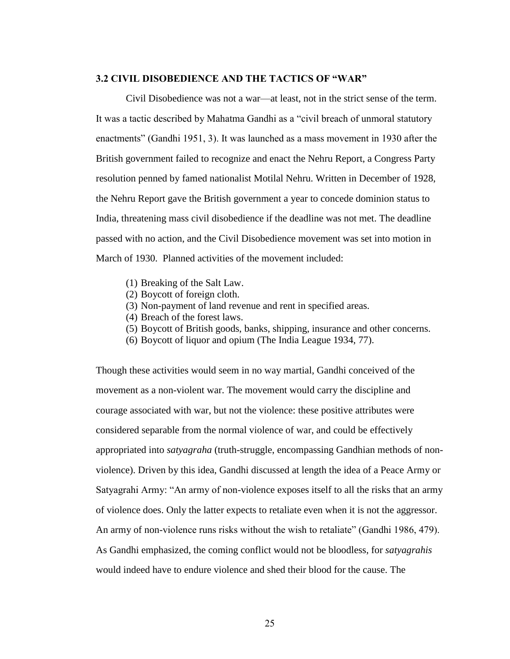## **3.2 CIVIL DISOBEDIENCE AND THE TACTICS OF "WAR"**

Civil Disobedience was not a war—at least, not in the strict sense of the term. It was a tactic described by Mahatma Gandhi as a "civil breach of unmoral statutory enactments" (Gandhi 1951, 3). It was launched as a mass movement in 1930 after the British government failed to recognize and enact the Nehru Report, a Congress Party resolution penned by famed nationalist Motilal Nehru. Written in December of 1928, the Nehru Report gave the British government a year to concede dominion status to India, threatening mass civil disobedience if the deadline was not met. The deadline passed with no action, and the Civil Disobedience movement was set into motion in March of 1930. Planned activities of the movement included:

- (1) Breaking of the Salt Law.
- (2) Boycott of foreign cloth.
- (3) Non-payment of land revenue and rent in specified areas.
- (4) Breach of the forest laws.
- (5) Boycott of British goods, banks, shipping, insurance and other concerns.
- (6) Boycott of liquor and opium (The India League 1934, 77).

Though these activities would seem in no way martial, Gandhi conceived of the movement as a non-violent war. The movement would carry the discipline and courage associated with war, but not the violence: these positive attributes were considered separable from the normal violence of war, and could be effectively appropriated into *satyagraha* (truth-struggle, encompassing Gandhian methods of nonviolence). Driven by this idea, Gandhi discussed at length the idea of a Peace Army or Satyagrahi Army: "An army of non-violence exposes itself to all the risks that an army of violence does. Only the latter expects to retaliate even when it is not the aggressor. An army of non-violence runs risks without the wish to retaliate" (Gandhi 1986, 479). As Gandhi emphasized, the coming conflict would not be bloodless, for *satyagrahis* would indeed have to endure violence and shed their blood for the cause. The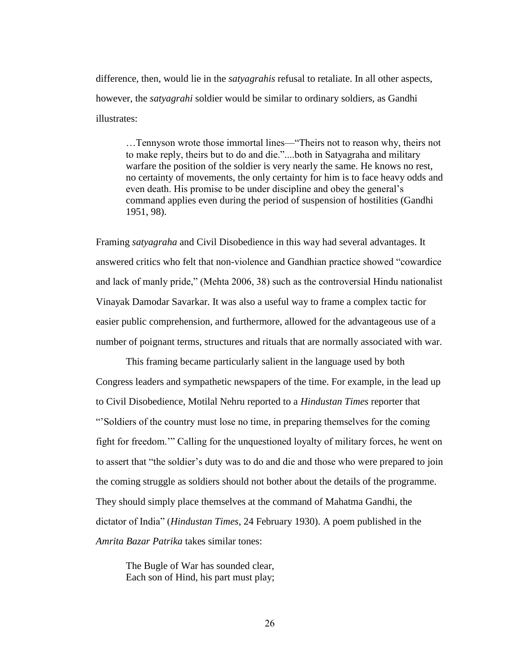difference, then, would lie in the *satyagrahis* refusal to retaliate. In all other aspects, however, the *satyagrahi* soldier would be similar to ordinary soldiers, as Gandhi illustrates:

…Tennyson wrote those immortal lines—"Theirs not to reason why, theirs not to make reply, theirs but to do and die."....both in Satyagraha and military warfare the position of the soldier is very nearly the same. He knows no rest, no certainty of movements, the only certainty for him is to face heavy odds and even death. His promise to be under discipline and obey the general"s command applies even during the period of suspension of hostilities (Gandhi 1951, 98).

Framing *satyagraha* and Civil Disobedience in this way had several advantages. It answered critics who felt that non-violence and Gandhian practice showed "cowardice and lack of manly pride," (Mehta 2006, 38) such as the controversial Hindu nationalist Vinayak Damodar Savarkar. It was also a useful way to frame a complex tactic for easier public comprehension, and furthermore, allowed for the advantageous use of a number of poignant terms, structures and rituals that are normally associated with war.

This framing became particularly salient in the language used by both Congress leaders and sympathetic newspapers of the time. For example, in the lead up to Civil Disobedience, Motilal Nehru reported to a *Hindustan Times* reporter that ""Soldiers of the country must lose no time, in preparing themselves for the coming fight for freedom."" Calling for the unquestioned loyalty of military forces, he went on to assert that "the soldier"s duty was to do and die and those who were prepared to join the coming struggle as soldiers should not bother about the details of the programme. They should simply place themselves at the command of Mahatma Gandhi, the dictator of India" (*Hindustan Times*, 24 February 1930). A poem published in the *Amrita Bazar Patrika* takes similar tones:

The Bugle of War has sounded clear, Each son of Hind, his part must play;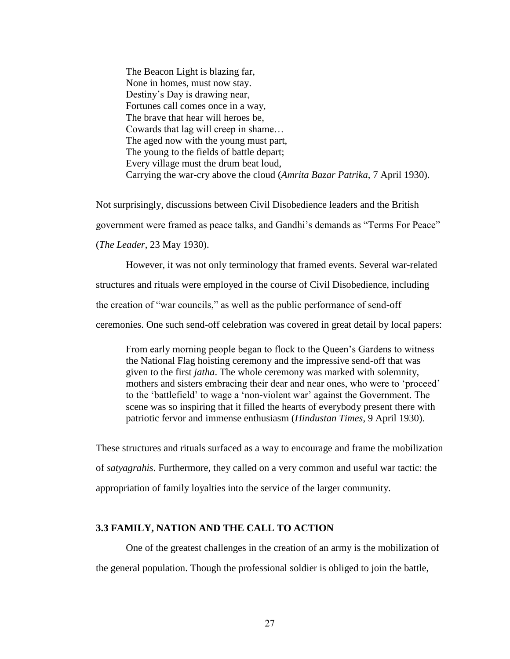The Beacon Light is blazing far, None in homes, must now stay. Destiny"s Day is drawing near, Fortunes call comes once in a way, The brave that hear will heroes be, Cowards that lag will creep in shame… The aged now with the young must part, The young to the fields of battle depart; Every village must the drum beat loud, Carrying the war-cry above the cloud (*Amrita Bazar Patrika*, 7 April 1930).

Not surprisingly, discussions between Civil Disobedience leaders and the British government were framed as peace talks, and Gandhi"s demands as "Terms For Peace" (*The Leader*, 23 May 1930).

However, it was not only terminology that framed events. Several war-related structures and rituals were employed in the course of Civil Disobedience, including the creation of "war councils," as well as the public performance of send-off ceremonies. One such send-off celebration was covered in great detail by local papers:

From early morning people began to flock to the Queen"s Gardens to witness the National Flag hoisting ceremony and the impressive send-off that was given to the first *jatha*. The whole ceremony was marked with solemnity, mothers and sisters embracing their dear and near ones, who were to 'proceed' to the "battlefield" to wage a "non-violent war" against the Government. The scene was so inspiring that it filled the hearts of everybody present there with patriotic fervor and immense enthusiasm (*Hindustan Times*, 9 April 1930).

These structures and rituals surfaced as a way to encourage and frame the mobilization of *satyagrahis*. Furthermore, they called on a very common and useful war tactic: the appropriation of family loyalties into the service of the larger community.

## **3.3 FAMILY, NATION AND THE CALL TO ACTION**

One of the greatest challenges in the creation of an army is the mobilization of the general population. Though the professional soldier is obliged to join the battle,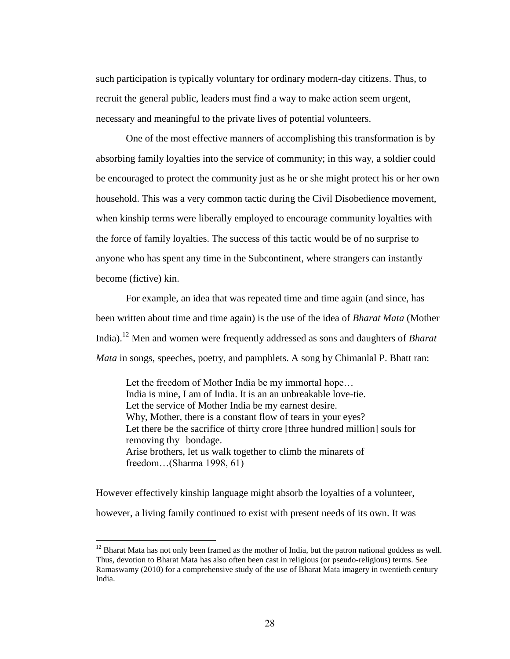such participation is typically voluntary for ordinary modern-day citizens. Thus, to recruit the general public, leaders must find a way to make action seem urgent, necessary and meaningful to the private lives of potential volunteers.

One of the most effective manners of accomplishing this transformation is by absorbing family loyalties into the service of community; in this way, a soldier could be encouraged to protect the community just as he or she might protect his or her own household. This was a very common tactic during the Civil Disobedience movement, when kinship terms were liberally employed to encourage community loyalties with the force of family loyalties. The success of this tactic would be of no surprise to anyone who has spent any time in the Subcontinent, where strangers can instantly become (fictive) kin.

For example, an idea that was repeated time and time again (and since, has been written about time and time again) is the use of the idea of *Bharat Mata* (Mother India).<sup>12</sup> Men and women were frequently addressed as sons and daughters of *Bharat Mata* in songs, speeches, poetry, and pamphlets. A song by Chimanlal P. Bhatt ran:

Let the freedom of Mother India be my immortal hope… India is mine, I am of India. It is an an unbreakable love-tie. Let the service of Mother India be my earnest desire. Why, Mother, there is a constant flow of tears in your eyes? Let there be the sacrifice of thirty crore [three hundred million] souls for removing thy bondage. Arise brothers, let us walk together to climb the minarets of freedom…(Sharma 1998, 61)

However effectively kinship language might absorb the loyalties of a volunteer, however, a living family continued to exist with present needs of its own. It was

 $12$  Bharat Mata has not only been framed as the mother of India, but the patron national goddess as well. Thus, devotion to Bharat Mata has also often been cast in religious (or pseudo-religious) terms. See Ramaswamy (2010) for a comprehensive study of the use of Bharat Mata imagery in twentieth century India.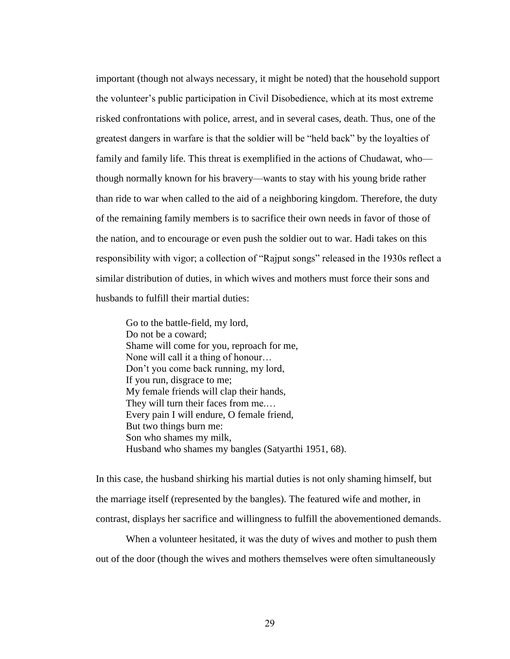important (though not always necessary, it might be noted) that the household support the volunteer"s public participation in Civil Disobedience, which at its most extreme risked confrontations with police, arrest, and in several cases, death. Thus, one of the greatest dangers in warfare is that the soldier will be "held back" by the loyalties of family and family life. This threat is exemplified in the actions of Chudawat, who though normally known for his bravery—wants to stay with his young bride rather than ride to war when called to the aid of a neighboring kingdom. Therefore, the duty of the remaining family members is to sacrifice their own needs in favor of those of the nation, and to encourage or even push the soldier out to war. Hadi takes on this responsibility with vigor; a collection of "Rajput songs" released in the 1930s reflect a similar distribution of duties, in which wives and mothers must force their sons and husbands to fulfill their martial duties:

Go to the battle-field, my lord, Do not be a coward; Shame will come for you, reproach for me, None will call it a thing of honour… Don"t you come back running, my lord, If you run, disgrace to me; My female friends will clap their hands, They will turn their faces from me.... Every pain I will endure, O female friend, But two things burn me: Son who shames my milk, Husband who shames my bangles (Satyarthi 1951, 68).

In this case, the husband shirking his martial duties is not only shaming himself, but the marriage itself (represented by the bangles). The featured wife and mother, in contrast, displays her sacrifice and willingness to fulfill the abovementioned demands.

When a volunteer hesitated, it was the duty of wives and mother to push them out of the door (though the wives and mothers themselves were often simultaneously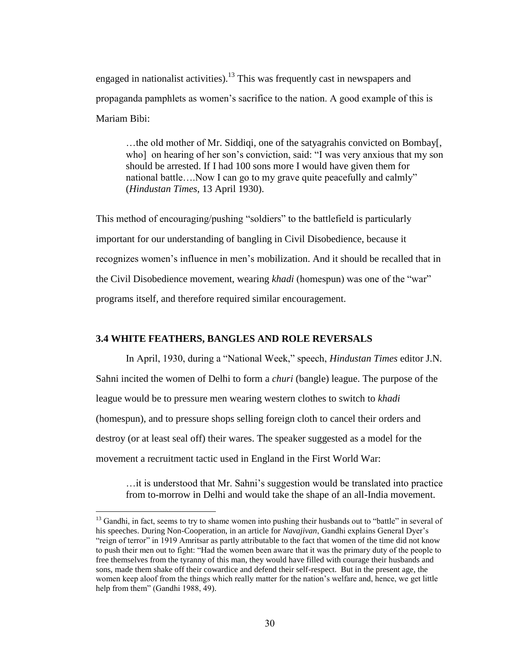engaged in nationalist activities).<sup>13</sup> This was frequently cast in newspapers and propaganda pamphlets as women"s sacrifice to the nation. A good example of this is Mariam Bibi:

…the old mother of Mr. Siddiqi, one of the satyagrahis convicted on Bombay[, who] on hearing of her son"s conviction, said: "I was very anxious that my son should be arrested. If I had 100 sons more I would have given them for national battle….Now I can go to my grave quite peacefully and calmly" (*Hindustan Times*, 13 April 1930).

This method of encouraging/pushing "soldiers" to the battlefield is particularly important for our understanding of bangling in Civil Disobedience, because it recognizes women"s influence in men"s mobilization. And it should be recalled that in the Civil Disobedience movement, wearing *khadi* (homespun) was one of the "war" programs itself, and therefore required similar encouragement.

## **3.4 WHITE FEATHERS, BANGLES AND ROLE REVERSALS**

 $\overline{a}$ 

In April, 1930, during a "National Week," speech, *Hindustan Times* editor J.N. Sahni incited the women of Delhi to form a *churi* (bangle) league. The purpose of the league would be to pressure men wearing western clothes to switch to *khadi*  (homespun), and to pressure shops selling foreign cloth to cancel their orders and destroy (or at least seal off) their wares. The speaker suggested as a model for the movement a recruitment tactic used in England in the First World War:

…it is understood that Mr. Sahni"s suggestion would be translated into practice from to-morrow in Delhi and would take the shape of an all-India movement.

<sup>&</sup>lt;sup>13</sup> Gandhi, in fact, seems to try to shame women into pushing their husbands out to "battle" in several of his speeches. During Non-Cooperation, in an article for *Navajivan*, Gandhi explains General Dyer"s "reign of terror" in 1919 Amritsar as partly attributable to the fact that women of the time did not know to push their men out to fight: "Had the women been aware that it was the primary duty of the people to free themselves from the tyranny of this man, they would have filled with courage their husbands and sons, made them shake off their cowardice and defend their self-respect. But in the present age, the women keep aloof from the things which really matter for the nation"s welfare and, hence, we get little help from them" (Gandhi 1988, 49).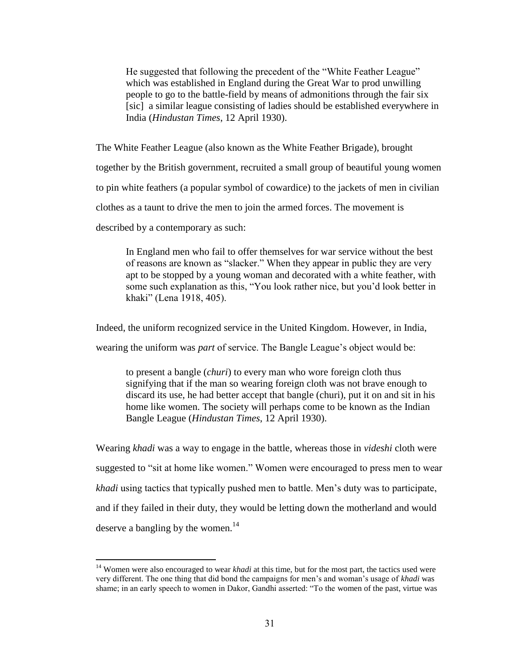He suggested that following the precedent of the "White Feather League" which was established in England during the Great War to prod unwilling people to go to the battle-field by means of admonitions through the fair six [sic] a similar league consisting of ladies should be established everywhere in India (*Hindustan Times*, 12 April 1930).

The White Feather League (also known as the White Feather Brigade), brought together by the British government, recruited a small group of beautiful young women to pin white feathers (a popular symbol of cowardice) to the jackets of men in civilian clothes as a taunt to drive the men to join the armed forces. The movement is described by a contemporary as such:

In England men who fail to offer themselves for war service without the best of reasons are known as "slacker." When they appear in public they are very apt to be stopped by a young woman and decorated with a white feather, with some such explanation as this, "You look rather nice, but you"d look better in khaki" (Lena 1918, 405).

Indeed, the uniform recognized service in the United Kingdom. However, in India,

wearing the uniform was *part* of service. The Bangle League"s object would be:

to present a bangle (*churi*) to every man who wore foreign cloth thus signifying that if the man so wearing foreign cloth was not brave enough to discard its use, he had better accept that bangle (churi), put it on and sit in his home like women. The society will perhaps come to be known as the Indian Bangle League (*Hindustan Times*, 12 April 1930).

Wearing *khadi* was a way to engage in the battle, whereas those in *videshi* cloth were suggested to "sit at home like women." Women were encouraged to press men to wear *khadi* using tactics that typically pushed men to battle. Men"s duty was to participate, and if they failed in their duty, they would be letting down the motherland and would deserve a bangling by the women.<sup>14</sup>

<sup>&</sup>lt;sup>14</sup> Women were also encouraged to wear *khadi* at this time, but for the most part, the tactics used were very different. The one thing that did bond the campaigns for men"s and woman"s usage of *khadi* was shame; in an early speech to women in Dakor, Gandhi asserted: "To the women of the past, virtue was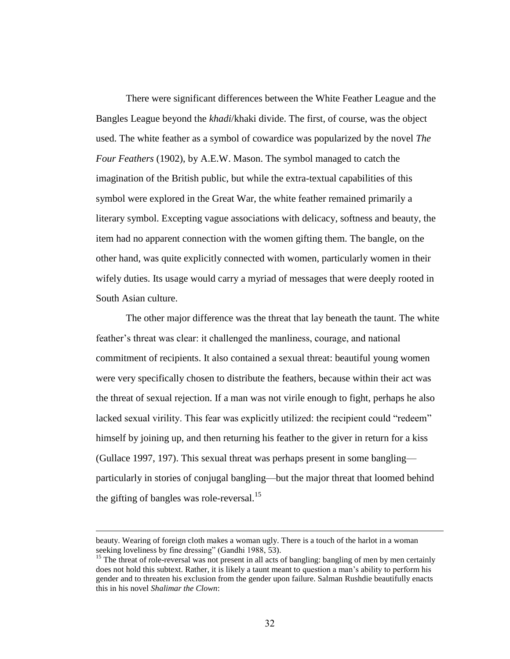There were significant differences between the White Feather League and the Bangles League beyond the *khadi*/khaki divide. The first, of course, was the object used. The white feather as a symbol of cowardice was popularized by the novel *The Four Feathers* (1902), by A.E.W. Mason. The symbol managed to catch the imagination of the British public, but while the extra-textual capabilities of this symbol were explored in the Great War, the white feather remained primarily a literary symbol. Excepting vague associations with delicacy, softness and beauty, the item had no apparent connection with the women gifting them. The bangle, on the other hand, was quite explicitly connected with women, particularly women in their wifely duties. Its usage would carry a myriad of messages that were deeply rooted in South Asian culture.

The other major difference was the threat that lay beneath the taunt. The white feather"s threat was clear: it challenged the manliness, courage, and national commitment of recipients. It also contained a sexual threat: beautiful young women were very specifically chosen to distribute the feathers, because within their act was the threat of sexual rejection. If a man was not virile enough to fight, perhaps he also lacked sexual virility. This fear was explicitly utilized: the recipient could "redeem" himself by joining up, and then returning his feather to the giver in return for a kiss (Gullace 1997, 197). This sexual threat was perhaps present in some bangling particularly in stories of conjugal bangling—but the major threat that loomed behind the gifting of bangles was role-reversal. $^{15}$ 

beauty. Wearing of foreign cloth makes a woman ugly. There is a touch of the harlot in a woman seeking loveliness by fine dressing" (Gandhi 1988, 53).

<sup>&</sup>lt;sup>15</sup> The threat of role-reversal was not present in all acts of bangling: bangling of men by men certainly does not hold this subtext. Rather, it is likely a taunt meant to question a man"s ability to perform his gender and to threaten his exclusion from the gender upon failure. Salman Rushdie beautifully enacts this in his novel *Shalimar the Clown*: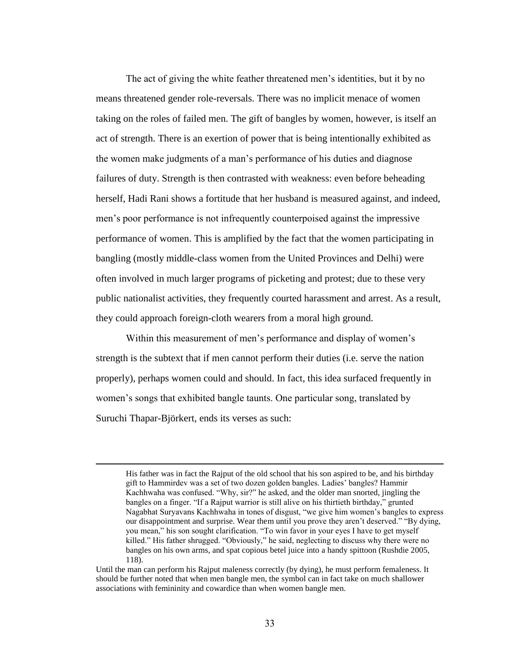The act of giving the white feather threatened men"s identities, but it by no means threatened gender role-reversals. There was no implicit menace of women taking on the roles of failed men. The gift of bangles by women, however, is itself an act of strength. There is an exertion of power that is being intentionally exhibited as the women make judgments of a man"s performance of his duties and diagnose failures of duty. Strength is then contrasted with weakness: even before beheading herself, Hadi Rani shows a fortitude that her husband is measured against, and indeed, men"s poor performance is not infrequently counterpoised against the impressive performance of women. This is amplified by the fact that the women participating in bangling (mostly middle-class women from the United Provinces and Delhi) were often involved in much larger programs of picketing and protest; due to these very public nationalist activities, they frequently courted harassment and arrest. As a result, they could approach foreign-cloth wearers from a moral high ground.

Within this measurement of men's performance and display of women's strength is the subtext that if men cannot perform their duties (i.e. serve the nation properly), perhaps women could and should. In fact, this idea surfaced frequently in women"s songs that exhibited bangle taunts. One particular song, translated by Suruchi Thapar-Björkert, ends its verses as such:

His father was in fact the Rajput of the old school that his son aspired to be, and his birthday gift to Hammirdev was a set of two dozen golden bangles. Ladies" bangles? Hammir Kachhwaha was confused. "Why, sir?" he asked, and the older man snorted, jingling the bangles on a finger. "If a Rajput warrior is still alive on his thirtieth birthday," grunted Nagabhat Suryavans Kachhwaha in tones of disgust, "we give him women"s bangles to express our disappointment and surprise. Wear them until you prove they aren't deserved." "By dying, you mean," his son sought clarification. "To win favor in your eyes I have to get myself killed." His father shrugged. "Obviously," he said, neglecting to discuss why there were no bangles on his own arms, and spat copious betel juice into a handy spittoon (Rushdie 2005, 118).

Until the man can perform his Rajput maleness correctly (by dying), he must perform femaleness. It should be further noted that when men bangle men, the symbol can in fact take on much shallower associations with femininity and cowardice than when women bangle men.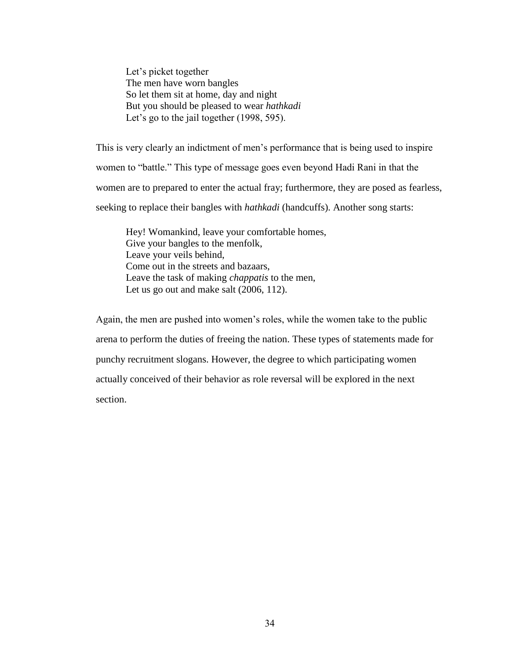Let's picket together The men have worn bangles So let them sit at home, day and night But you should be pleased to wear *hathkadi* Let's go to the jail together (1998, 595).

This is very clearly an indictment of men"s performance that is being used to inspire women to "battle." This type of message goes even beyond Hadi Rani in that the women are to prepared to enter the actual fray; furthermore, they are posed as fearless, seeking to replace their bangles with *hathkadi* (handcuffs). Another song starts:

Hey! Womankind, leave your comfortable homes, Give your bangles to the menfolk, Leave your veils behind, Come out in the streets and bazaars, Leave the task of making *chappatis* to the men, Let us go out and make salt (2006, 112).

Again, the men are pushed into women"s roles, while the women take to the public arena to perform the duties of freeing the nation. These types of statements made for punchy recruitment slogans. However, the degree to which participating women actually conceived of their behavior as role reversal will be explored in the next section.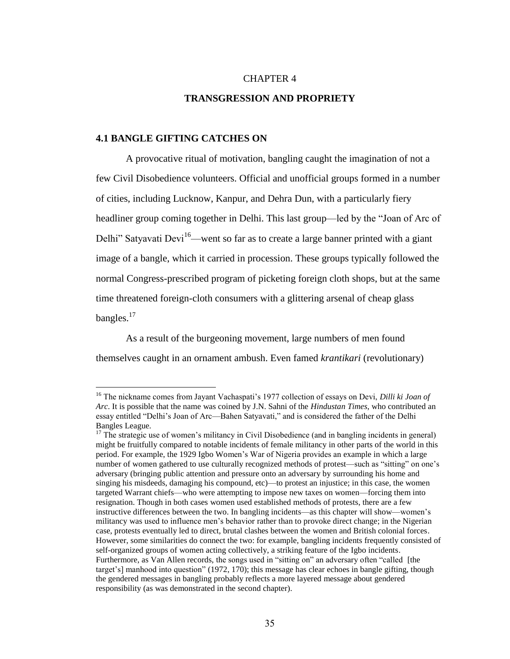## CHAPTER 4

## **TRANSGRESSION AND PROPRIETY**

## **4.1 BANGLE GIFTING CATCHES ON**

 $\overline{a}$ 

A provocative ritual of motivation, bangling caught the imagination of not a few Civil Disobedience volunteers. Official and unofficial groups formed in a number of cities, including Lucknow, Kanpur, and Dehra Dun, with a particularly fiery headliner group coming together in Delhi. This last group—led by the "Joan of Arc of Delhi" Satyavati Devi<sup>16</sup>—went so far as to create a large banner printed with a giant image of a bangle, which it carried in procession. These groups typically followed the normal Congress-prescribed program of picketing foreign cloth shops, but at the same time threatened foreign-cloth consumers with a glittering arsenal of cheap glass bangles.<sup>17</sup>

As a result of the burgeoning movement, large numbers of men found themselves caught in an ornament ambush. Even famed *krantikari* (revolutionary)

<sup>&</sup>lt;sup>16</sup> The nickname comes from Jayant Vachaspati's 1977 collection of essays on Devi, *Dilli ki Joan of Arc*. It is possible that the name was coined by J.N. Sahni of the *Hindustan Times*, who contributed an essay entitled "Delhi"s Joan of Arc—Bahen Satyavati," and is considered the father of the Delhi Bangles League.

 $17$  The strategic use of women's militancy in Civil Disobedience (and in bangling incidents in general) might be fruitfully compared to notable incidents of female militancy in other parts of the world in this period. For example, the 1929 Igbo Women"s War of Nigeria provides an example in which a large number of women gathered to use culturally recognized methods of protest—such as "sitting" on one's adversary (bringing public attention and pressure onto an adversary by surrounding his home and singing his misdeeds, damaging his compound, etc)—to protest an injustice; in this case, the women targeted Warrant chiefs—who were attempting to impose new taxes on women—forcing them into resignation. Though in both cases women used established methods of protests, there are a few instructive differences between the two. In bangling incidents—as this chapter will show—women"s militancy was used to influence men"s behavior rather than to provoke direct change; in the Nigerian case, protests eventually led to direct, brutal clashes between the women and British colonial forces. However, some similarities do connect the two: for example, bangling incidents frequently consisted of self-organized groups of women acting collectively, a striking feature of the Igbo incidents. Furthermore, as Van Allen records, the songs used in "sitting on" an adversary often "called [the target"s] manhood into question" (1972, 170); this message has clear echoes in bangle gifting, though the gendered messages in bangling probably reflects a more layered message about gendered responsibility (as was demonstrated in the second chapter).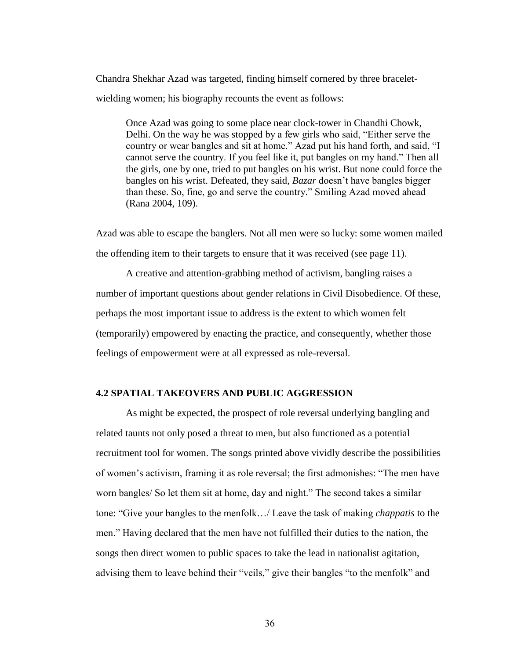Chandra Shekhar Azad was targeted, finding himself cornered by three braceletwielding women; his biography recounts the event as follows:

Once Azad was going to some place near clock-tower in Chandhi Chowk, Delhi. On the way he was stopped by a few girls who said, "Either serve the country or wear bangles and sit at home." Azad put his hand forth, and said, "I cannot serve the country. If you feel like it, put bangles on my hand." Then all the girls, one by one, tried to put bangles on his wrist. But none could force the bangles on his wrist. Defeated, they said, *Bazar* doesn't have bangles bigger than these. So, fine, go and serve the country." Smiling Azad moved ahead (Rana 2004, 109).

Azad was able to escape the banglers. Not all men were so lucky: some women mailed the offending item to their targets to ensure that it was received (see page 11).

A creative and attention-grabbing method of activism, bangling raises a number of important questions about gender relations in Civil Disobedience. Of these, perhaps the most important issue to address is the extent to which women felt (temporarily) empowered by enacting the practice, and consequently, whether those feelings of empowerment were at all expressed as role-reversal.

#### **4.2 SPATIAL TAKEOVERS AND PUBLIC AGGRESSION**

As might be expected, the prospect of role reversal underlying bangling and related taunts not only posed a threat to men, but also functioned as a potential recruitment tool for women. The songs printed above vividly describe the possibilities of women"s activism, framing it as role reversal; the first admonishes: "The men have worn bangles/ So let them sit at home, day and night." The second takes a similar tone: "Give your bangles to the menfolk…/ Leave the task of making *chappatis* to the men." Having declared that the men have not fulfilled their duties to the nation, the songs then direct women to public spaces to take the lead in nationalist agitation, advising them to leave behind their "veils," give their bangles "to the menfolk" and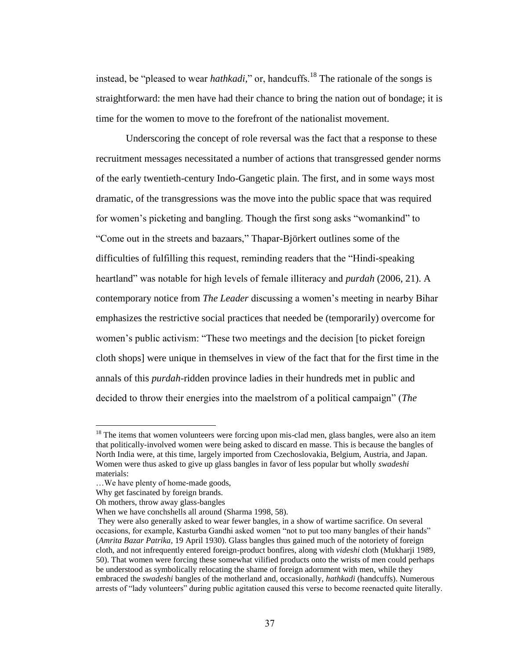instead, be "pleased to wear *hathkadi*," or, handcuffs.<sup>18</sup> The rationale of the songs is straightforward: the men have had their chance to bring the nation out of bondage; it is time for the women to move to the forefront of the nationalist movement.

Underscoring the concept of role reversal was the fact that a response to these recruitment messages necessitated a number of actions that transgressed gender norms of the early twentieth-century Indo-Gangetic plain. The first, and in some ways most dramatic, of the transgressions was the move into the public space that was required for women"s picketing and bangling. Though the first song asks "womankind" to "Come out in the streets and bazaars," Thapar-Björkert outlines some of the difficulties of fulfilling this request, reminding readers that the "Hindi-speaking heartland" was notable for high levels of female illiteracy and *purdah* (2006, 21). A contemporary notice from *The Leader* discussing a women"s meeting in nearby Bihar emphasizes the restrictive social practices that needed be (temporarily) overcome for women"s public activism: "These two meetings and the decision [to picket foreign cloth shops] were unique in themselves in view of the fact that for the first time in the annals of this *purdah*-ridden province ladies in their hundreds met in public and decided to throw their energies into the maelstrom of a political campaign" (*The* 

 $18$  The items that women volunteers were forcing upon mis-clad men, glass bangles, were also an item that politically-involved women were being asked to discard en masse. This is because the bangles of North India were, at this time, largely imported from Czechoslovakia, Belgium, Austria, and Japan. Women were thus asked to give up glass bangles in favor of less popular but wholly *swadeshi* materials:

<sup>…</sup>We have plenty of home-made goods,

Why get fascinated by foreign brands.

Oh mothers, throw away glass-bangles

When we have conchshells all around (Sharma 1998, 58).

They were also generally asked to wear fewer bangles, in a show of wartime sacrifice. On several occasions, for example, Kasturba Gandhi asked women "not to put too many bangles of their hands" (*Amrita Bazar Patrika*, 19 April 1930). Glass bangles thus gained much of the notoriety of foreign cloth, and not infrequently entered foreign-product bonfires, along with *videshi* cloth (Mukharji 1989, 50). That women were forcing these somewhat vilified products onto the wrists of men could perhaps be understood as symbolically relocating the shame of foreign adornment with men, while they embraced the *swadeshi* bangles of the motherland and, occasionally, *hathkadi* (handcuffs). Numerous arrests of "lady volunteers" during public agitation caused this verse to become reenacted quite literally.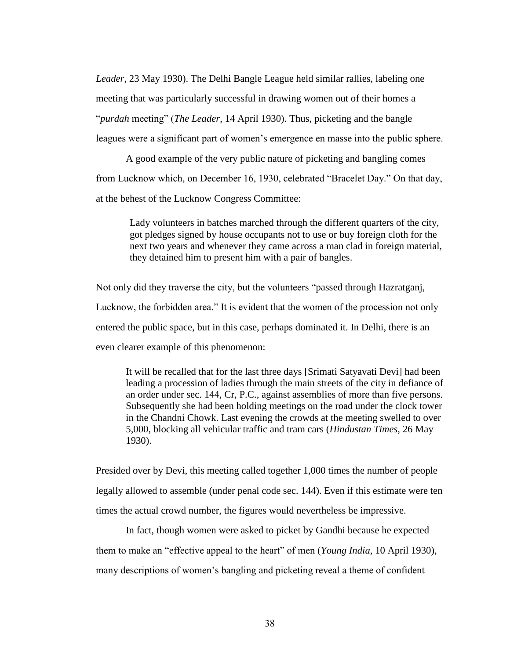*Leader*, 23 May 1930). The Delhi Bangle League held similar rallies, labeling one meeting that was particularly successful in drawing women out of their homes a "*purdah* meeting" (*The Leader*, 14 April 1930). Thus, picketing and the bangle leagues were a significant part of women"s emergence en masse into the public sphere.

A good example of the very public nature of picketing and bangling comes from Lucknow which, on December 16, 1930, celebrated "Bracelet Day." On that day, at the behest of the Lucknow Congress Committee:

Lady volunteers in batches marched through the different quarters of the city, got pledges signed by house occupants not to use or buy foreign cloth for the next two years and whenever they came across a man clad in foreign material, they detained him to present him with a pair of bangles.

Not only did they traverse the city, but the volunteers "passed through Hazratganj, Lucknow, the forbidden area." It is evident that the women of the procession not only entered the public space, but in this case, perhaps dominated it. In Delhi, there is an even clearer example of this phenomenon:

It will be recalled that for the last three days [Srimati Satyavati Devi] had been leading a procession of ladies through the main streets of the city in defiance of an order under sec. 144, Cr, P.C., against assemblies of more than five persons. Subsequently she had been holding meetings on the road under the clock tower in the Chandni Chowk. Last evening the crowds at the meeting swelled to over 5,000, blocking all vehicular traffic and tram cars (*Hindustan Times*, 26 May 1930).

Presided over by Devi, this meeting called together 1,000 times the number of people legally allowed to assemble (under penal code sec. 144). Even if this estimate were ten times the actual crowd number, the figures would nevertheless be impressive.

In fact, though women were asked to picket by Gandhi because he expected them to make an "effective appeal to the heart" of men (*Young India*, 10 April 1930), many descriptions of women"s bangling and picketing reveal a theme of confident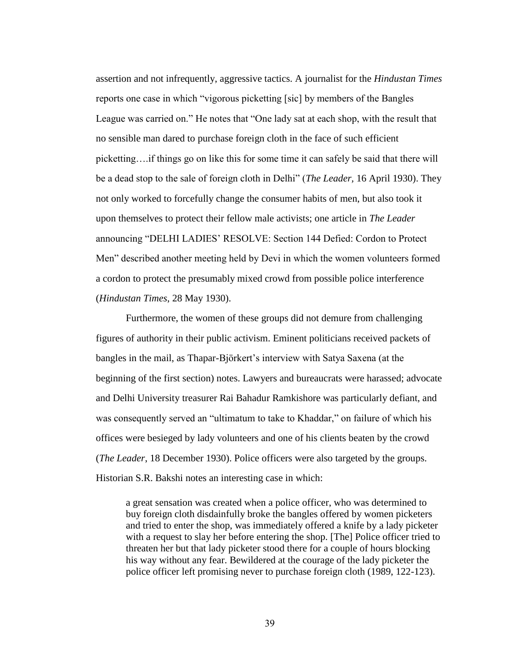assertion and not infrequently, aggressive tactics. A journalist for the *Hindustan Times*  reports one case in which "vigorous picketting [sic] by members of the Bangles League was carried on." He notes that "One lady sat at each shop, with the result that no sensible man dared to purchase foreign cloth in the face of such efficient picketting….if things go on like this for some time it can safely be said that there will be a dead stop to the sale of foreign cloth in Delhi" (*The Leader,* 16 April 1930). They not only worked to forcefully change the consumer habits of men, but also took it upon themselves to protect their fellow male activists; one article in *The Leader*  announcing "DELHI LADIES" RESOLVE: Section 144 Defied: Cordon to Protect Men" described another meeting held by Devi in which the women volunteers formed a cordon to protect the presumably mixed crowd from possible police interference (*Hindustan Times*, 28 May 1930).

Furthermore, the women of these groups did not demure from challenging figures of authority in their public activism. Eminent politicians received packets of bangles in the mail, as Thapar-Björkert's interview with Satya Saxena (at the beginning of the first section) notes. Lawyers and bureaucrats were harassed; advocate and Delhi University treasurer Rai Bahadur Ramkishore was particularly defiant, and was consequently served an "ultimatum to take to Khaddar," on failure of which his offices were besieged by lady volunteers and one of his clients beaten by the crowd (*The Leader*, 18 December 1930). Police officers were also targeted by the groups. Historian S.R. Bakshi notes an interesting case in which:

a great sensation was created when a police officer, who was determined to buy foreign cloth disdainfully broke the bangles offered by women picketers and tried to enter the shop, was immediately offered a knife by a lady picketer with a request to slay her before entering the shop. [The] Police officer tried to threaten her but that lady picketer stood there for a couple of hours blocking his way without any fear. Bewildered at the courage of the lady picketer the police officer left promising never to purchase foreign cloth (1989, 122-123).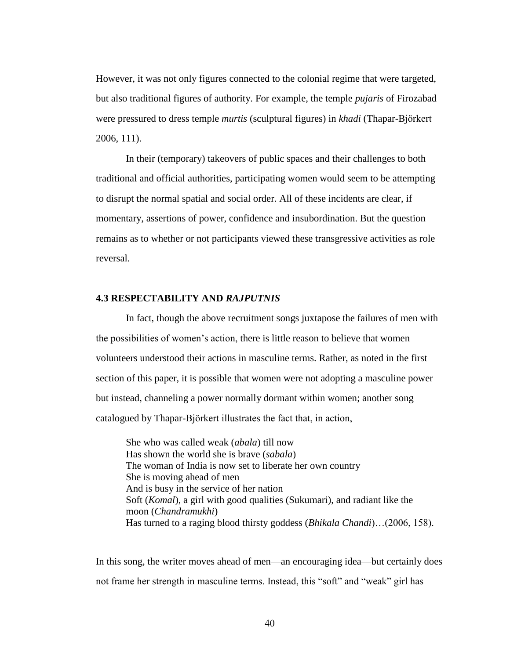However, it was not only figures connected to the colonial regime that were targeted, but also traditional figures of authority. For example, the temple *pujaris* of Firozabad were pressured to dress temple *murtis* (sculptural figures) in *khadi* (Thapar-Bjӧrkert 2006, 111).

In their (temporary) takeovers of public spaces and their challenges to both traditional and official authorities, participating women would seem to be attempting to disrupt the normal spatial and social order. All of these incidents are clear, if momentary, assertions of power, confidence and insubordination. But the question remains as to whether or not participants viewed these transgressive activities as role reversal.

## **4.3 RESPECTABILITY AND** *RAJPUTNIS*

In fact, though the above recruitment songs juxtapose the failures of men with the possibilities of women"s action, there is little reason to believe that women volunteers understood their actions in masculine terms. Rather, as noted in the first section of this paper, it is possible that women were not adopting a masculine power but instead, channeling a power normally dormant within women; another song catalogued by Thapar-Bjӧrkert illustrates the fact that, in action,

She who was called weak (*abala*) till now Has shown the world she is brave (*sabala*) The woman of India is now set to liberate her own country She is moving ahead of men And is busy in the service of her nation Soft (*Komal*), a girl with good qualities (Sukumari), and radiant like the moon (*Chandramukhi*) Has turned to a raging blood thirsty goddess (*Bhikala Chandi*)…(2006, 158).

In this song, the writer moves ahead of men—an encouraging idea—but certainly does not frame her strength in masculine terms. Instead, this "soft" and "weak" girl has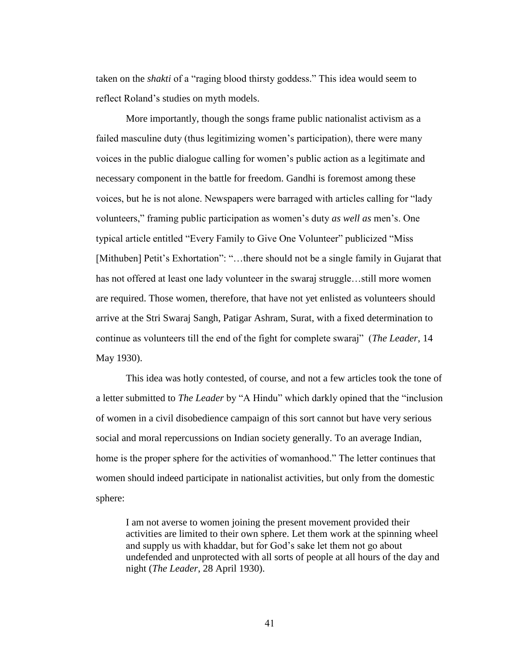taken on the *shakti* of a "raging blood thirsty goddess." This idea would seem to reflect Roland"s studies on myth models.

More importantly, though the songs frame public nationalist activism as a failed masculine duty (thus legitimizing women"s participation), there were many voices in the public dialogue calling for women"s public action as a legitimate and necessary component in the battle for freedom. Gandhi is foremost among these voices, but he is not alone. Newspapers were barraged with articles calling for "lady volunteers," framing public participation as women"s duty *as well as* men"s. One typical article entitled "Every Family to Give One Volunteer" publicized "Miss [Mithuben] Petit's Exhortation": "...there should not be a single family in Gujarat that has not offered at least one lady volunteer in the swaraj struggle…still more women are required. Those women, therefore, that have not yet enlisted as volunteers should arrive at the Stri Swaraj Sangh, Patigar Ashram, Surat, with a fixed determination to continue as volunteers till the end of the fight for complete swaraj" (*The Leader*, 14 May 1930).

This idea was hotly contested, of course, and not a few articles took the tone of a letter submitted to *The Leader* by "A Hindu" which darkly opined that the "inclusion of women in a civil disobedience campaign of this sort cannot but have very serious social and moral repercussions on Indian society generally. To an average Indian, home is the proper sphere for the activities of womanhood." The letter continues that women should indeed participate in nationalist activities, but only from the domestic sphere:

I am not averse to women joining the present movement provided their activities are limited to their own sphere. Let them work at the spinning wheel and supply us with khaddar, but for God"s sake let them not go about undefended and unprotected with all sorts of people at all hours of the day and night (*The Leader*, 28 April 1930).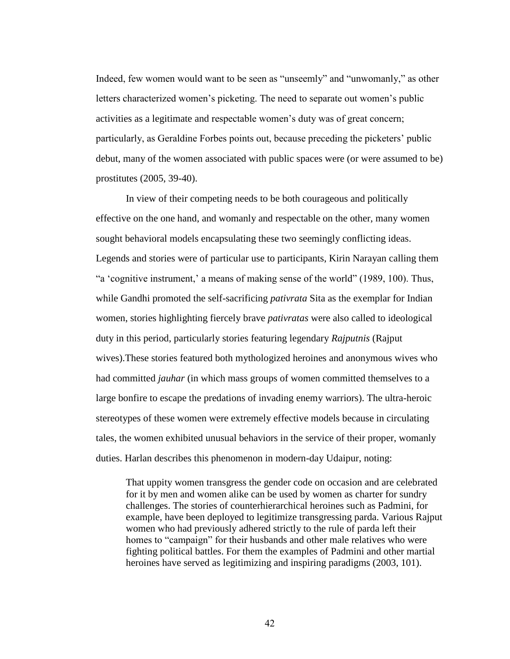Indeed, few women would want to be seen as "unseemly" and "unwomanly," as other letters characterized women"s picketing. The need to separate out women"s public activities as a legitimate and respectable women"s duty was of great concern; particularly, as Geraldine Forbes points out, because preceding the picketers" public debut, many of the women associated with public spaces were (or were assumed to be) prostitutes (2005, 39-40).

In view of their competing needs to be both courageous and politically effective on the one hand, and womanly and respectable on the other, many women sought behavioral models encapsulating these two seemingly conflicting ideas. Legends and stories were of particular use to participants, Kirin Narayan calling them "a 'cognitive instrument,' a means of making sense of the world" (1989, 100). Thus, while Gandhi promoted the self-sacrificing *pativrata* Sita as the exemplar for Indian women, stories highlighting fiercely brave *pativratas* were also called to ideological duty in this period, particularly stories featuring legendary *Rajputnis* (Rajput wives).These stories featured both mythologized heroines and anonymous wives who had committed *jauhar* (in which mass groups of women committed themselves to a large bonfire to escape the predations of invading enemy warriors). The ultra-heroic stereotypes of these women were extremely effective models because in circulating tales, the women exhibited unusual behaviors in the service of their proper, womanly duties. Harlan describes this phenomenon in modern-day Udaipur, noting:

That uppity women transgress the gender code on occasion and are celebrated for it by men and women alike can be used by women as charter for sundry challenges. The stories of counterhierarchical heroines such as Padmini, for example, have been deployed to legitimize transgressing parda. Various Rajput women who had previously adhered strictly to the rule of parda left their homes to "campaign" for their husbands and other male relatives who were fighting political battles. For them the examples of Padmini and other martial heroines have served as legitimizing and inspiring paradigms (2003, 101).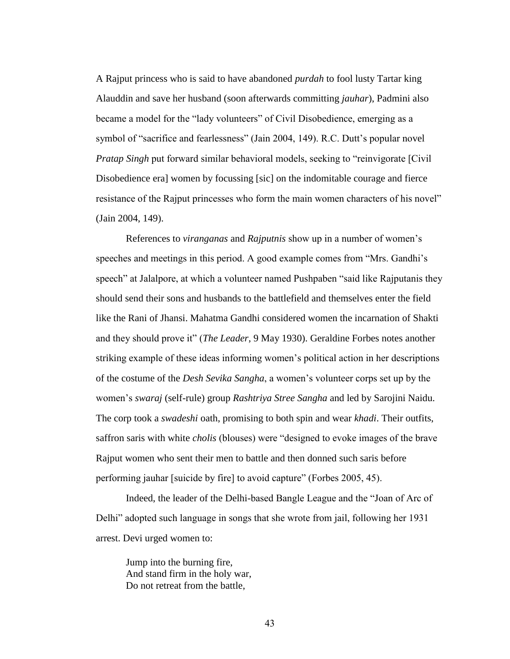A Rajput princess who is said to have abandoned *purdah* to fool lusty Tartar king Alauddin and save her husband (soon afterwards committing *jauhar*), Padmini also became a model for the "lady volunteers" of Civil Disobedience, emerging as a symbol of "sacrifice and fearlessness" (Jain 2004, 149). R.C. Dutt"s popular novel *Pratap Singh* put forward similar behavioral models, seeking to "reinvigorate [Civil Disobedience era] women by focussing [sic] on the indomitable courage and fierce resistance of the Rajput princesses who form the main women characters of his novel" (Jain 2004, 149).

References to *viranganas* and *Rajputnis* show up in a number of women"s speeches and meetings in this period. A good example comes from "Mrs. Gandhi"s speech" at Jalalpore, at which a volunteer named Pushpaben "said like Rajputanis they should send their sons and husbands to the battlefield and themselves enter the field like the Rani of Jhansi. Mahatma Gandhi considered women the incarnation of Shakti and they should prove it" (*The Leader*, 9 May 1930). Geraldine Forbes notes another striking example of these ideas informing women"s political action in her descriptions of the costume of the *Desh Sevika Sangha*, a women"s volunteer corps set up by the women"s *swaraj* (self-rule) group *Rashtriya Stree Sangha* and led by Sarojini Naidu. The corp took a *swadeshi* oath, promising to both spin and wear *khadi*. Their outfits, saffron saris with white *cholis* (blouses) were "designed to evoke images of the brave Rajput women who sent their men to battle and then donned such saris before performing jauhar [suicide by fire] to avoid capture" (Forbes 2005, 45).

Indeed, the leader of the Delhi-based Bangle League and the "Joan of Arc of Delhi" adopted such language in songs that she wrote from jail, following her 1931 arrest. Devi urged women to:

Jump into the burning fire, And stand firm in the holy war, Do not retreat from the battle,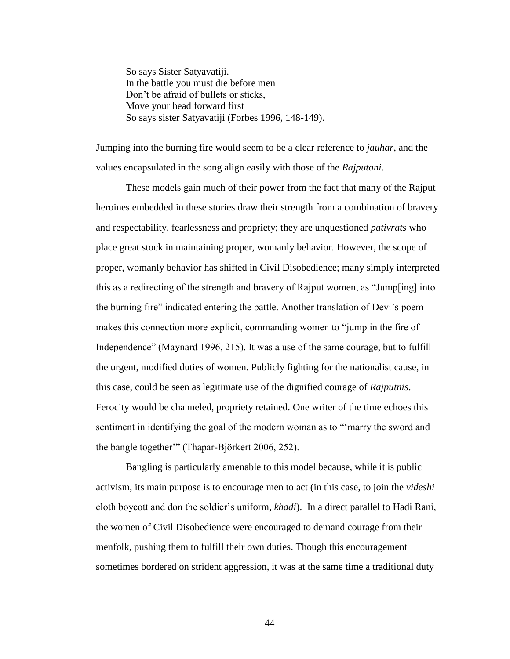So says Sister Satyavatiji. In the battle you must die before men Don"t be afraid of bullets or sticks, Move your head forward first So says sister Satyavatiji (Forbes 1996, 148-149).

Jumping into the burning fire would seem to be a clear reference to *jauhar*, and the values encapsulated in the song align easily with those of the *Rajputani*.

These models gain much of their power from the fact that many of the Rajput heroines embedded in these stories draw their strength from a combination of bravery and respectability, fearlessness and propriety; they are unquestioned *pativrats* who place great stock in maintaining proper, womanly behavior. However, the scope of proper, womanly behavior has shifted in Civil Disobedience; many simply interpreted this as a redirecting of the strength and bravery of Rajput women, as "Jump[ing] into the burning fire" indicated entering the battle. Another translation of Devi"s poem makes this connection more explicit, commanding women to "jump in the fire of Independence" (Maynard 1996, 215). It was a use of the same courage, but to fulfill the urgent, modified duties of women. Publicly fighting for the nationalist cause, in this case, could be seen as legitimate use of the dignified courage of *Rajputnis*. Ferocity would be channeled, propriety retained. One writer of the time echoes this sentiment in identifying the goal of the modern woman as to ""marry the sword and the bangle together"" (Thapar-Bjӧrkert 2006, 252).

Bangling is particularly amenable to this model because, while it is public activism, its main purpose is to encourage men to act (in this case, to join the *videshi* cloth boycott and don the soldier"s uniform, *khadi*). In a direct parallel to Hadi Rani, the women of Civil Disobedience were encouraged to demand courage from their menfolk, pushing them to fulfill their own duties. Though this encouragement sometimes bordered on strident aggression, it was at the same time a traditional duty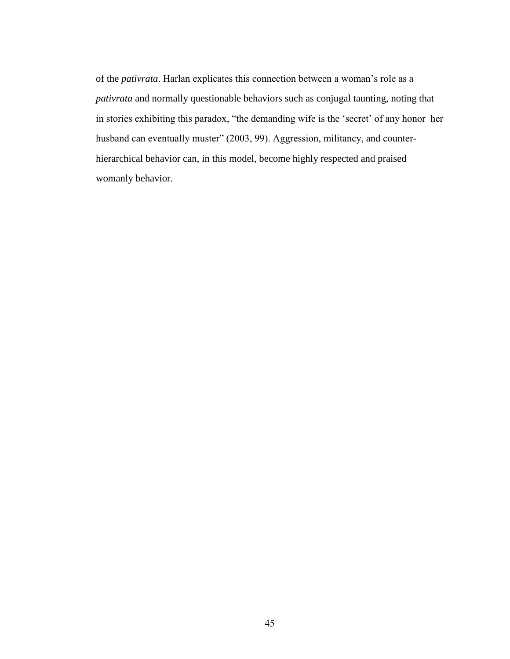of the *pativrata*. Harlan explicates this connection between a woman"s role as a *pativrata* and normally questionable behaviors such as conjugal taunting, noting that in stories exhibiting this paradox, "the demanding wife is the "secret" of any honor her husband can eventually muster" (2003, 99). Aggression, militancy, and counterhierarchical behavior can, in this model, become highly respected and praised womanly behavior.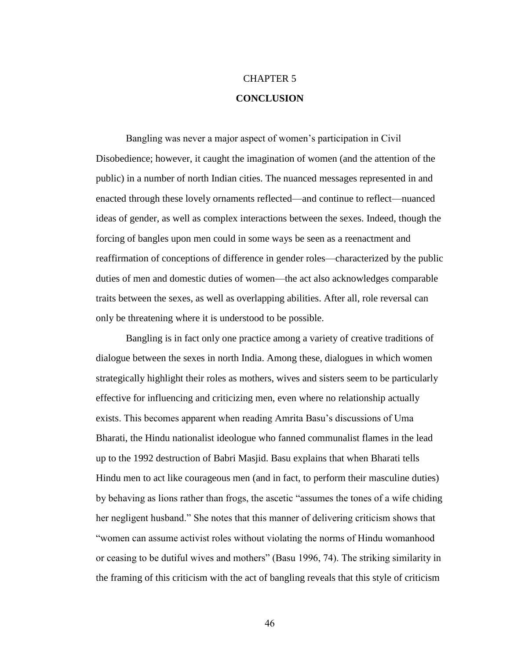# CHAPTER 5 **CONCLUSION**

Bangling was never a major aspect of women"s participation in Civil Disobedience; however, it caught the imagination of women (and the attention of the public) in a number of north Indian cities. The nuanced messages represented in and enacted through these lovely ornaments reflected—and continue to reflect—nuanced ideas of gender, as well as complex interactions between the sexes. Indeed, though the forcing of bangles upon men could in some ways be seen as a reenactment and reaffirmation of conceptions of difference in gender roles—characterized by the public duties of men and domestic duties of women—the act also acknowledges comparable traits between the sexes, as well as overlapping abilities. After all, role reversal can only be threatening where it is understood to be possible.

Bangling is in fact only one practice among a variety of creative traditions of dialogue between the sexes in north India. Among these, dialogues in which women strategically highlight their roles as mothers, wives and sisters seem to be particularly effective for influencing and criticizing men, even where no relationship actually exists. This becomes apparent when reading Amrita Basu"s discussions of Uma Bharati, the Hindu nationalist ideologue who fanned communalist flames in the lead up to the 1992 destruction of Babri Masjid. Basu explains that when Bharati tells Hindu men to act like courageous men (and in fact, to perform their masculine duties) by behaving as lions rather than frogs, the ascetic "assumes the tones of a wife chiding her negligent husband." She notes that this manner of delivering criticism shows that "women can assume activist roles without violating the norms of Hindu womanhood or ceasing to be dutiful wives and mothers" (Basu 1996, 74). The striking similarity in the framing of this criticism with the act of bangling reveals that this style of criticism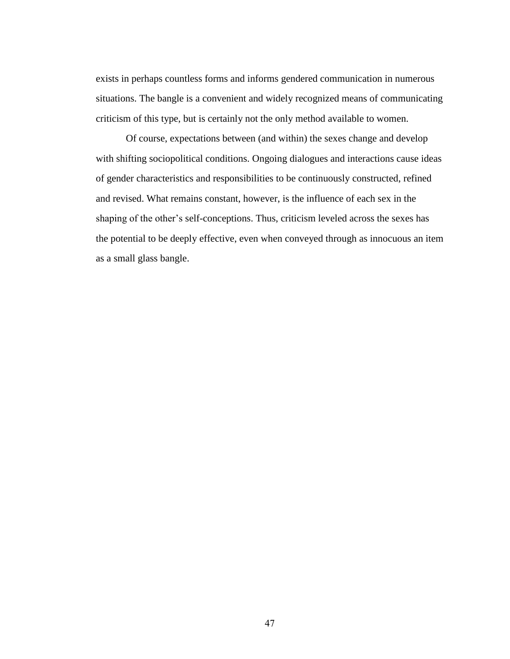exists in perhaps countless forms and informs gendered communication in numerous situations. The bangle is a convenient and widely recognized means of communicating criticism of this type, but is certainly not the only method available to women.

Of course, expectations between (and within) the sexes change and develop with shifting sociopolitical conditions. Ongoing dialogues and interactions cause ideas of gender characteristics and responsibilities to be continuously constructed, refined and revised. What remains constant, however, is the influence of each sex in the shaping of the other"s self-conceptions. Thus, criticism leveled across the sexes has the potential to be deeply effective, even when conveyed through as innocuous an item as a small glass bangle.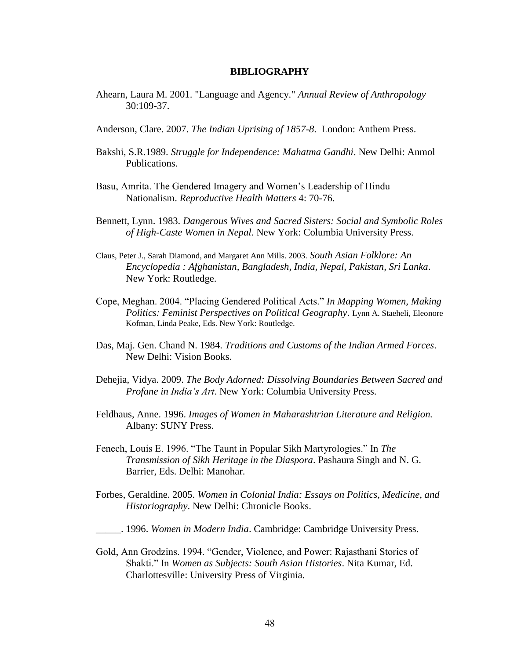#### **BIBLIOGRAPHY**

- Ahearn, Laura M. 2001. "Language and Agency." *Annual Review of Anthropology* 30:109-37.
- Anderson, Clare. 2007. *The Indian Uprising of 1857-8*. London: Anthem Press.
- Bakshi, S.R.1989. *Struggle for Independence: Mahatma Gandhi*. New Delhi: Anmol Publications.
- Basu, Amrita. The Gendered Imagery and Women"s Leadership of Hindu Nationalism. *Reproductive Health Matters* 4: 70-76.
- Bennett, Lynn. 1983. *Dangerous Wives and Sacred Sisters: Social and Symbolic Roles of High-Caste Women in Nepal*. New York: Columbia University Press.
- Claus, Peter J., Sarah Diamond, and Margaret Ann Mills. 2003. *South Asian Folklore: An Encyclopedia : Afghanistan, Bangladesh, India, Nepal, Pakistan, Sri Lanka*. New York: Routledge.
- Cope, Meghan. 2004. "Placing Gendered Political Acts." *In Mapping Women, Making Politics: Feminist Perspectives on Political Geography*. Lynn A. Staeheli, Eleonore Kofman, Linda Peake, Eds. New York: Routledge.
- Das, Maj. Gen. Chand N. 1984. *Traditions and Customs of the Indian Armed Forces*. New Delhi: Vision Books.
- Dehejia, Vidya. 2009. *The Body Adorned: Dissolving Boundaries Between Sacred and Profane in India's Art*. New York: Columbia University Press.
- Feldhaus, Anne. 1996. *Images of Women in Maharashtrian Literature and Religion.*  Albany: SUNY Press.
- Fenech, Louis E. 1996. "The Taunt in Popular Sikh Martyrologies." In *The Transmission of Sikh Heritage in the Diaspora*. Pashaura Singh and N. G. Barrier, Eds. Delhi: Manohar.
- Forbes, Geraldine. 2005. *Women in Colonial India: Essays on Politics, Medicine, and Historiography*. New Delhi: Chronicle Books.
- \_\_\_\_\_. 1996. *Women in Modern India*. Cambridge: Cambridge University Press.
- Gold, Ann Grodzins. 1994. "Gender, Violence, and Power: Rajasthani Stories of Shakti." In *Women as Subjects: South Asian Histories*. Nita Kumar, Ed. Charlottesville: University Press of Virginia.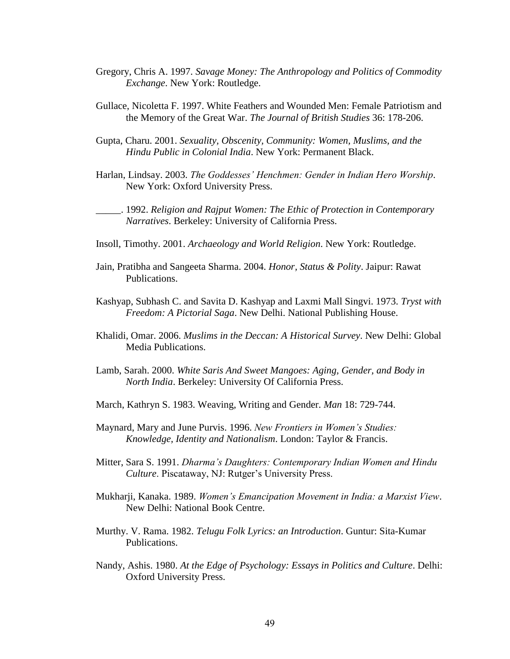- Gregory, Chris A. 1997. *Savage Money: The Anthropology and Politics of Commodity Exchange*. New York: Routledge.
- Gullace, Nicoletta F. 1997. White Feathers and Wounded Men: Female Patriotism and the Memory of the Great War. *The Journal of British Studies* 36: 178-206.
- Gupta, Charu. 2001. *Sexuality, Obscenity, Community: Women, Muslims, and the Hindu Public in Colonial India*. New York: Permanent Black.
- Harlan, Lindsay. 2003. *The Goddesses' Henchmen: Gender in Indian Hero Worship*. New York: Oxford University Press.

\_\_\_\_\_. 1992. *Religion and Rajput Women: The Ethic of Protection in Contemporary Narratives*. Berkeley: University of California Press.

- Insoll, Timothy. 2001. *Archaeology and World Religion*. New York: Routledge.
- Jain, Pratibha and Sangeeta Sharma. 2004. *Honor, Status & Polity*. Jaipur: Rawat Publications.
- Kashyap, Subhash C. and Savita D. Kashyap and Laxmi Mall Singvi. 1973. *Tryst with Freedom: A Pictorial Saga*. New Delhi. National Publishing House.
- Khalidi, Omar. 2006. *Muslims in the Deccan: A Historical Survey*. New Delhi: Global Media Publications.
- Lamb, Sarah. 2000. *White Saris And Sweet Mangoes: Aging, Gender, and Body in North India*. Berkeley: University Of California Press.
- March, Kathryn S. 1983. Weaving, Writing and Gender. *Man* 18: 729-744.
- Maynard, Mary and June Purvis. 1996. *New Frontiers in Women's Studies: Knowledge, Identity and Nationalism*. London: Taylor & Francis.
- Mitter, Sara S. 1991. *Dharma's Daughters: Contemporary Indian Women and Hindu Culture*. Piscataway, NJ: Rutger's University Press.
- Mukharji, Kanaka. 1989. *Women's Emancipation Movement in India: a Marxist View*. New Delhi: National Book Centre.
- Murthy. V. Rama. 1982. *Telugu Folk Lyrics: an Introduction*. Guntur: Sita-Kumar Publications.
- Nandy, Ashis. 1980. *At the Edge of Psychology: Essays in Politics and Culture*. Delhi: Oxford University Press.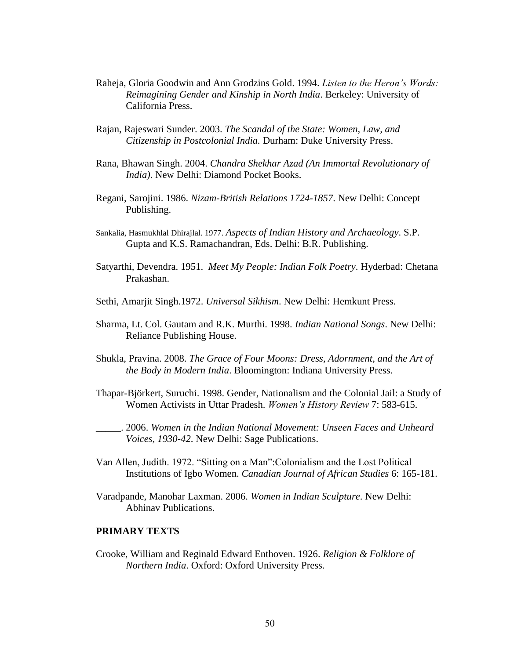- Raheja, Gloria Goodwin and Ann Grodzins Gold. 1994. *Listen to the Heron's Words: Reimagining Gender and Kinship in North India*. Berkeley: University of California Press.
- Rajan, Rajeswari Sunder. 2003. *The Scandal of the State: Women, Law, and Citizenship in Postcolonial India.* Durham: Duke University Press.
- Rana, Bhawan Singh. 2004. *Chandra Shekhar Azad (An Immortal Revolutionary of India)*. New Delhi: Diamond Pocket Books.
- Regani, Sarojini. 1986. *Nizam-British Relations 1724-1857*. New Delhi: Concept Publishing.
- Sankalia, Hasmukhlal Dhirajlal. 1977. *Aspects of Indian History and Archaeology*. S.P. Gupta and K.S. Ramachandran, Eds. Delhi: B.R. Publishing.
- Satyarthi, Devendra. 1951. *Meet My People: Indian Folk Poetry*. Hyderbad: Chetana Prakashan.
- Sethi, Amarjit Singh.1972. *Universal Sikhism*. New Delhi: Hemkunt Press.
- Sharma, Lt. Col. Gautam and R.K. Murthi. 1998. *Indian National Songs*. New Delhi: Reliance Publishing House.
- Shukla, Pravina. 2008. *The Grace of Four Moons: Dress, Adornment, and the Art of the Body in Modern India*. Bloomington: Indiana University Press.
- Thapar-Björkert, Suruchi. 1998. Gender, Nationalism and the Colonial Jail: a Study of Women Activists in Uttar Pradesh. *Women's History Review* 7: 583-615.
- \_\_\_\_\_. 2006. *Women in the Indian National Movement: Unseen Faces and Unheard Voices, 1930-42*. New Delhi: Sage Publications.
- Van Allen, Judith. 1972. "Sitting on a Man":Colonialism and the Lost Political Institutions of Igbo Women. *Canadian Journal of African Studies* 6: 165-181.
- Varadpande, Manohar Laxman. 2006. *Women in Indian Sculpture*. New Delhi: Abhinav Publications.

## **PRIMARY TEXTS**

Crooke, William and Reginald Edward Enthoven. 1926. *Religion & Folklore of Northern India*. Oxford: Oxford University Press.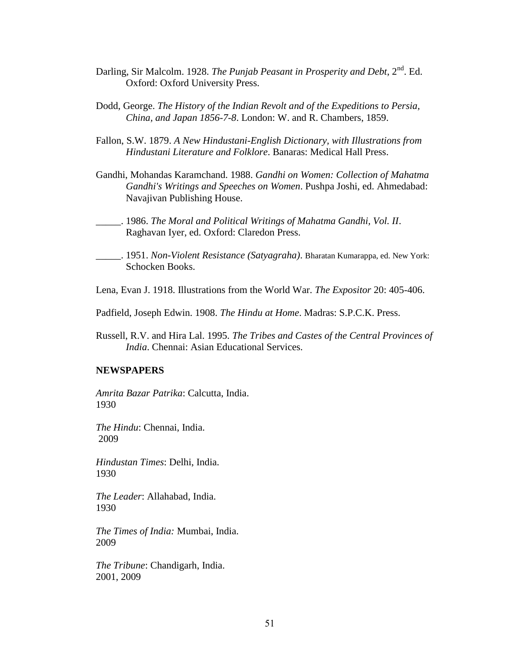- Darling, Sir Malcolm. 1928. *The Punjab Peasant in Prosperity and Debt*, 2<sup>nd</sup>. Ed. Oxford: Oxford University Press.
- Dodd, George. *The History of the Indian Revolt and of the Expeditions to Persia, China, and Japan 1856-7-8*. London: W. and R. Chambers, 1859.
- Fallon, S.W. 1879. *A New Hindustani-English Dictionary, with Illustrations from Hindustani Literature and Folklore*. Banaras: Medical Hall Press.
- Gandhi, Mohandas Karamchand. 1988. *Gandhi on Women: Collection of Mahatma Gandhi's Writings and Speeches on Women*. Pushpa Joshi, ed. Ahmedabad: Navajivan Publishing House.
- \_\_\_\_\_. 1986. *The Moral and Political Writings of Mahatma Gandhi, Vol. II*. Raghavan Iyer, ed. Oxford: Claredon Press.
- \_\_\_\_\_. 1951. *Non-Violent Resistance (Satyagraha)*. Bharatan Kumarappa, ed. New York: Schocken Books.
- Lena, Evan J. 1918. Illustrations from the World War. *The Expositor* 20: 405-406.
- Padfield, Joseph Edwin. 1908. *The Hindu at Home*. Madras: S.P.C.K. Press.
- Russell, R.V. and Hira Lal. 1995. *The Tribes and Castes of the Central Provinces of India*. Chennai: Asian Educational Services.

## **NEWSPAPERS**

*Amrita Bazar Patrika*: Calcutta, India. 1930

*The Hindu*: Chennai, India. 2009

*Hindustan Times*: Delhi, India. 1930

*The Leader*: Allahabad, India. 1930

*The Times of India:* Mumbai, India. 2009

*The Tribune*: Chandigarh, India. 2001, 2009